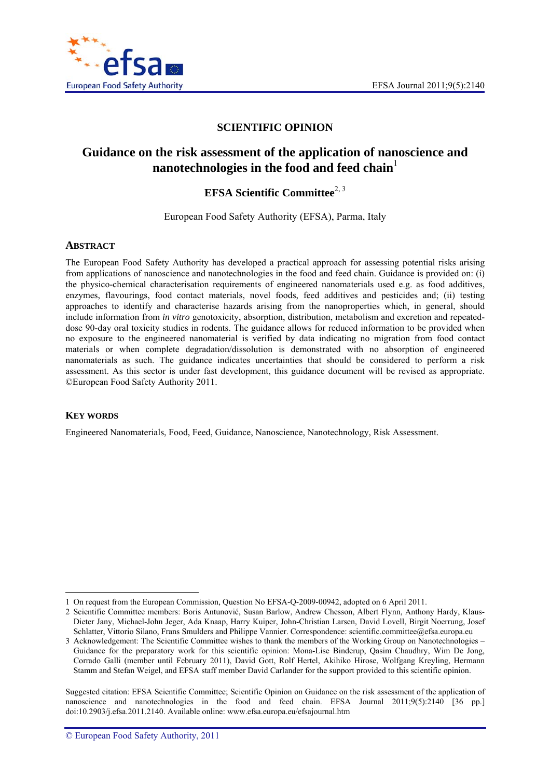

## **SCIENTIFIC OPINION**

# **Guidance on the risk assessment of the application of nanoscience and nanotechnologies in the food and feed chain**<sup>1</sup>

## **EFSA Scientific Committee**<sup>2, 3</sup>

European Food Safety Authority (EFSA), Parma, Italy

#### **ABSTRACT**

The European Food Safety Authority has developed a practical approach for assessing potential risks arising from applications of nanoscience and nanotechnologies in the food and feed chain. Guidance is provided on: (i) the physico-chemical characterisation requirements of engineered nanomaterials used e.g. as food additives, enzymes, flavourings, food contact materials, novel foods, feed additives and pesticides and; (ii) testing approaches to identify and characterise hazards arising from the nanoproperties which, in general, should include information from *in vitro* genotoxicity, absorption, distribution, metabolism and excretion and repeateddose 90-day oral toxicity studies in rodents. The guidance allows for reduced information to be provided when no exposure to the engineered nanomaterial is verified by data indicating no migration from food contact materials or when complete degradation/dissolution is demonstrated with no absorption of engineered nanomaterials as such. The guidance indicates uncertainties that should be considered to perform a risk assessment. As this sector is under fast development, this guidance document will be revised as appropriate. ©European Food Safety Authority 2011.

#### **KEY WORDS**

l

Engineered Nanomaterials, Food, Feed, Guidance, Nanoscience, Nanotechnology, Risk Assessment.

Suggested citation: EFSA Scientific Committee; Scientific Opinion on Guidance on the risk assessment of the application of nanoscience and nanotechnologies in the food and feed chain. EFSA Journal 2011;9(5):2140 [36 pp.] doi:10.2903/j.efsa.2011.2140. Available online: www.efsa.europa.eu/efsajournal.htm

<sup>1</sup> On request from the European Commission, Question No EFSA-Q-2009-00942, adopted on 6 April 2011.

<sup>2</sup> Scientific Committee members: Boris Antunović, Susan Barlow, Andrew Chesson, Albert Flynn, Anthony Hardy, Klaus-Dieter Jany, Michael-John Jeger, Ada Knaap, Harry Kuiper, John-Christian Larsen, David Lovell, Birgit Noerrung, Josef Schlatter, Vittorio Silano, Frans Smulders and Philippe Vannier. Correspondence: scientific.committee@efsa.europa.eu

<sup>3</sup> Acknowledgement: The Scientific Committee wishes to thank the members of the Working Group on Nanotechnologies – Guidance for the preparatory work for this scientific opinion: Mona-Lise Binderup, Qasim Chaudhry, Wim De Jong, Corrado Galli (member until February 2011), David Gott, Rolf Hertel, Akihiko Hirose, Wolfgang Kreyling, Hermann Stamm and Stefan Weigel, and EFSA staff member David Carlander for the support provided to this scientific opinion.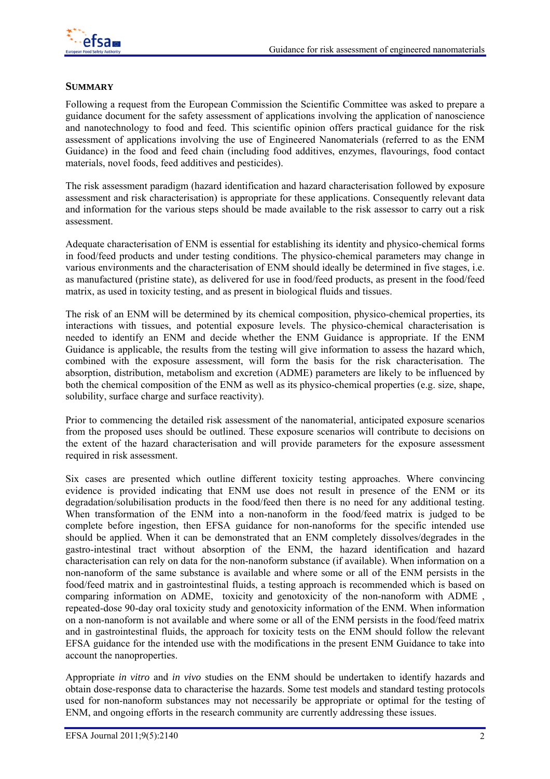

### **SUMMARY**

Following a request from the European Commission the Scientific Committee was asked to prepare a guidance document for the safety assessment of applications involving the application of nanoscience and nanotechnology to food and feed. This scientific opinion offers practical guidance for the risk assessment of applications involving the use of Engineered Nanomaterials (referred to as the ENM Guidance) in the food and feed chain (including food additives, enzymes, flavourings, food contact materials, novel foods, feed additives and pesticides).

The risk assessment paradigm (hazard identification and hazard characterisation followed by exposure assessment and risk characterisation) is appropriate for these applications. Consequently relevant data and information for the various steps should be made available to the risk assessor to carry out a risk assessment.

Adequate characterisation of ENM is essential for establishing its identity and physico-chemical forms in food/feed products and under testing conditions. The physico-chemical parameters may change in various environments and the characterisation of ENM should ideally be determined in five stages, i.e. as manufactured (pristine state), as delivered for use in food/feed products, as present in the food/feed matrix, as used in toxicity testing, and as present in biological fluids and tissues.

The risk of an ENM will be determined by its chemical composition, physico-chemical properties, its interactions with tissues, and potential exposure levels. The physico-chemical characterisation is needed to identify an ENM and decide whether the ENM Guidance is appropriate. If the ENM Guidance is applicable, the results from the testing will give information to assess the hazard which, combined with the exposure assessment, will form the basis for the risk characterisation. The absorption, distribution, metabolism and excretion (ADME) parameters are likely to be influenced by both the chemical composition of the ENM as well as its physico-chemical properties (e.g. size, shape, solubility, surface charge and surface reactivity).

Prior to commencing the detailed risk assessment of the nanomaterial, anticipated exposure scenarios from the proposed uses should be outlined. These exposure scenarios will contribute to decisions on the extent of the hazard characterisation and will provide parameters for the exposure assessment required in risk assessment.

Six cases are presented which outline different toxicity testing approaches. Where convincing evidence is provided indicating that ENM use does not result in presence of the ENM or its degradation/solubilisation products in the food/feed then there is no need for any additional testing. When transformation of the ENM into a non-nanoform in the food/feed matrix is judged to be complete before ingestion, then EFSA guidance for non-nanoforms for the specific intended use should be applied. When it can be demonstrated that an ENM completely dissolves/degrades in the gastro-intestinal tract without absorption of the ENM, the hazard identification and hazard characterisation can rely on data for the non-nanoform substance (if available). When information on a non-nanoform of the same substance is available and where some or all of the ENM persists in the food/feed matrix and in gastrointestinal fluids, a testing approach is recommended which is based on comparing information on ADME, toxicity and genotoxicity of the non-nanoform with ADME , repeated-dose 90-day oral toxicity study and genotoxicity information of the ENM. When information on a non-nanoform is not available and where some or all of the ENM persists in the food/feed matrix and in gastrointestinal fluids, the approach for toxicity tests on the ENM should follow the relevant EFSA guidance for the intended use with the modifications in the present ENM Guidance to take into account the nanoproperties.

Appropriate *in vitro* and *in vivo* studies on the ENM should be undertaken to identify hazards and obtain dose-response data to characterise the hazards. Some test models and standard testing protocols used for non-nanoform substances may not necessarily be appropriate or optimal for the testing of ENM, and ongoing efforts in the research community are currently addressing these issues.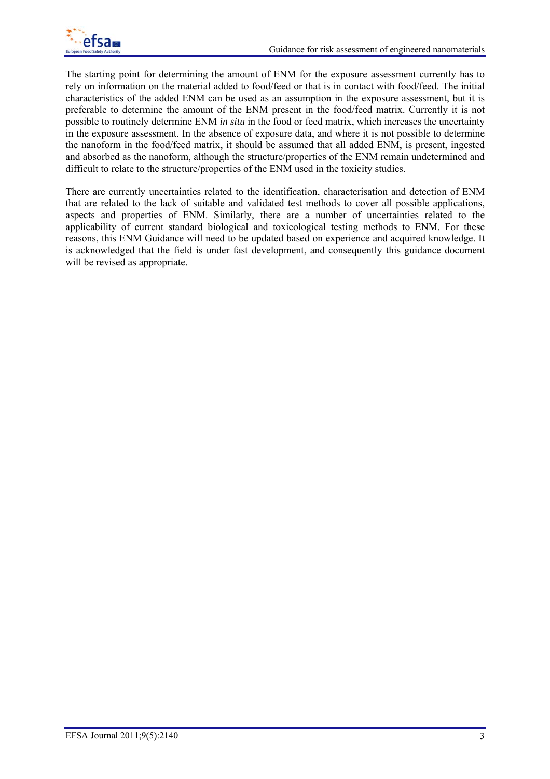The starting point for determining the amount of ENM for the exposure assessment currently has to rely on information on the material added to food/feed or that is in contact with food/feed. The initial characteristics of the added ENM can be used as an assumption in the exposure assessment, but it is preferable to determine the amount of the ENM present in the food/feed matrix. Currently it is not possible to routinely determine ENM *in situ* in the food or feed matrix, which increases the uncertainty in the exposure assessment. In the absence of exposure data, and where it is not possible to determine the nanoform in the food/feed matrix, it should be assumed that all added ENM, is present, ingested and absorbed as the nanoform, although the structure/properties of the ENM remain undetermined and difficult to relate to the structure/properties of the ENM used in the toxicity studies.

There are currently uncertainties related to the identification, characterisation and detection of ENM that are related to the lack of suitable and validated test methods to cover all possible applications, aspects and properties of ENM. Similarly, there are a number of uncertainties related to the applicability of current standard biological and toxicological testing methods to ENM. For these reasons, this ENM Guidance will need to be updated based on experience and acquired knowledge. It is acknowledged that the field is under fast development, and consequently this guidance document will be revised as appropriate.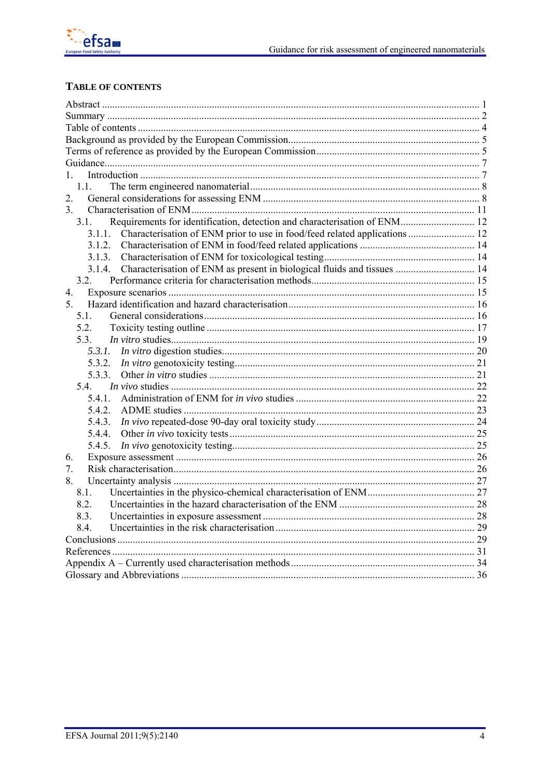

## TABLE OF CONTENTS

| $\mathbf{1}$                                                                         |  |
|--------------------------------------------------------------------------------------|--|
| 1.1.                                                                                 |  |
| $\overline{2}$ .                                                                     |  |
| $\mathcal{E}$                                                                        |  |
| Requirements for identification, detection and characterisation of ENM 12<br>$3.1$ . |  |
| Characterisation of ENM prior to use in food/feed related applications  12<br>3.1.1. |  |
|                                                                                      |  |
|                                                                                      |  |
| Characterisation of ENM as present in biological fluids and tissues  14<br>3.1.4.    |  |
| 3.2.                                                                                 |  |
| 4.                                                                                   |  |
| 5.                                                                                   |  |
| 5.1.                                                                                 |  |
| 5.2.                                                                                 |  |
| 5.3.                                                                                 |  |
|                                                                                      |  |
|                                                                                      |  |
| 5.3.3.                                                                               |  |
| 5.4.                                                                                 |  |
| 5.4.1.                                                                               |  |
| 5.4.2                                                                                |  |
| 5.4.3.                                                                               |  |
| 5.4.4.                                                                               |  |
| 5.4.5.                                                                               |  |
| 6.                                                                                   |  |
| 7.                                                                                   |  |
| 8.                                                                                   |  |
| 8.1                                                                                  |  |
| 8.2.                                                                                 |  |
| 8.3.                                                                                 |  |
| 8.4.                                                                                 |  |
|                                                                                      |  |
|                                                                                      |  |
|                                                                                      |  |
|                                                                                      |  |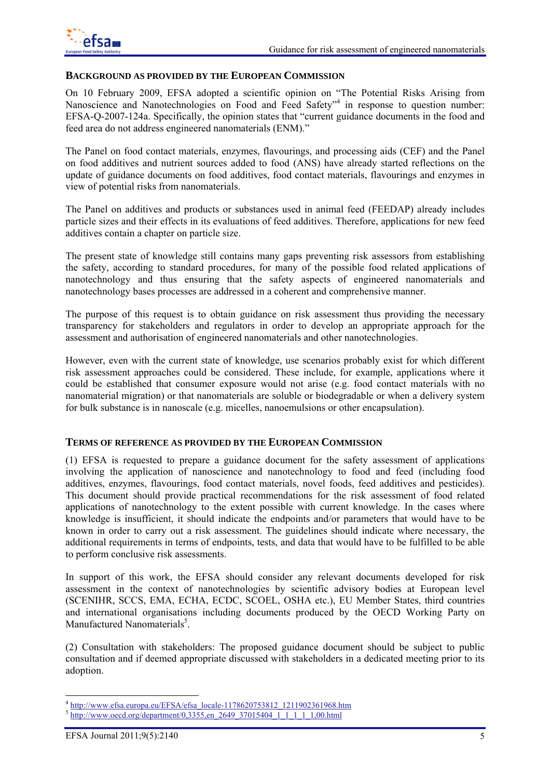### **BACKGROUND AS PROVIDED BY THE EUROPEAN COMMISSION**

On 10 February 2009, EFSA adopted a scientific opinion on "The Potential Risks Arising from Nanoscience and Nanotechnologies on Food and Feed Safety<sup>74</sup> in response to question number: EFSA-Q-2007-124a. Specifically, the opinion states that "current guidance documents in the food and feed area do not address engineered nanomaterials (ENM)."

The Panel on food contact materials, enzymes, flavourings, and processing aids (CEF) and the Panel on food additives and nutrient sources added to food (ANS) have already started reflections on the update of guidance documents on food additives, food contact materials, flavourings and enzymes in view of potential risks from nanomaterials.

The Panel on additives and products or substances used in animal feed (FEEDAP) already includes particle sizes and their effects in its evaluations of feed additives. Therefore, applications for new feed additives contain a chapter on particle size.

The present state of knowledge still contains many gaps preventing risk assessors from establishing the safety, according to standard procedures, for many of the possible food related applications of nanotechnology and thus ensuring that the safety aspects of engineered nanomaterials and nanotechnology bases processes are addressed in a coherent and comprehensive manner.

The purpose of this request is to obtain guidance on risk assessment thus providing the necessary transparency for stakeholders and regulators in order to develop an appropriate approach for the assessment and authorisation of engineered nanomaterials and other nanotechnologies.

However, even with the current state of knowledge, use scenarios probably exist for which different risk assessment approaches could be considered. These include, for example, applications where it could be established that consumer exposure would not arise (e.g. food contact materials with no nanomaterial migration) or that nanomaterials are soluble or biodegradable or when a delivery system for bulk substance is in nanoscale (e.g. micelles, nanoemulsions or other encapsulation).

#### **TERMS OF REFERENCE AS PROVIDED BY THE EUROPEAN COMMISSION**

(1) EFSA is requested to prepare a guidance document for the safety assessment of applications involving the application of nanoscience and nanotechnology to food and feed (including food additives, enzymes, flavourings, food contact materials, novel foods, feed additives and pesticides). This document should provide practical recommendations for the risk assessment of food related applications of nanotechnology to the extent possible with current knowledge. In the cases where knowledge is insufficient, it should indicate the endpoints and/or parameters that would have to be known in order to carry out a risk assessment. The guidelines should indicate where necessary, the additional requirements in terms of endpoints, tests, and data that would have to be fulfilled to be able to perform conclusive risk assessments.

In support of this work, the EFSA should consider any relevant documents developed for risk assessment in the context of nanotechnologies by scientific advisory bodies at European level (SCENIHR, SCCS, EMA, ECHA, ECDC, SCOEL, OSHA etc.), EU Member States, third countries and international organisations including documents produced by the OECD Working Party on Manufactured Nanomaterials<sup>5</sup>.

(2) Consultation with stakeholders: The proposed guidance document should be subject to public consultation and if deemed appropriate discussed with stakeholders in a dedicated meeting prior to its adoption.

l

 $^4$  http://www.efsa.europa.eu/EFSA/efsa\_locale-1178620753812\_1211902361968.htm  $^5$  http://www.oecd.org/department/0,3355,en\_2649\_37015404\_1\_1\_1\_1,00.html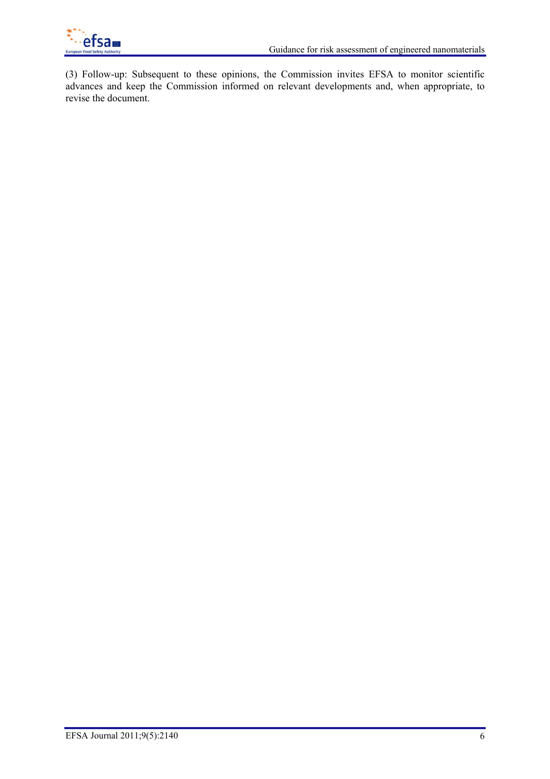

(3) Follow-up: Subsequent to these opinions, the Commission invites EFSA to monitor scientific advances and keep the Commission informed on relevant developments and, when appropriate, to revise the document.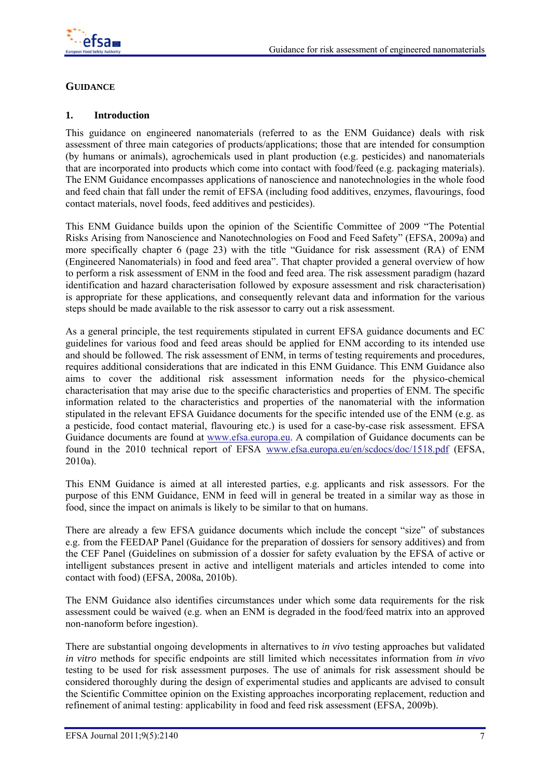

## **GUIDANCE**

### **1. Introduction**

This guidance on engineered nanomaterials (referred to as the ENM Guidance) deals with risk assessment of three main categories of products/applications; those that are intended for consumption (by humans or animals), agrochemicals used in plant production (e.g. pesticides) and nanomaterials that are incorporated into products which come into contact with food/feed (e.g. packaging materials). The ENM Guidance encompasses applications of nanoscience and nanotechnologies in the whole food and feed chain that fall under the remit of EFSA (including food additives, enzymes, flavourings, food contact materials, novel foods, feed additives and pesticides).

This ENM Guidance builds upon the opinion of the Scientific Committee of 2009 "The Potential Risks Arising from Nanoscience and Nanotechnologies on Food and Feed Safety" (EFSA, 2009a) and more specifically chapter 6 (page 23) with the title "Guidance for risk assessment (RA) of ENM (Engineered Nanomaterials) in food and feed area". That chapter provided a general overview of how to perform a risk assessment of ENM in the food and feed area. The risk assessment paradigm (hazard identification and hazard characterisation followed by exposure assessment and risk characterisation) is appropriate for these applications, and consequently relevant data and information for the various steps should be made available to the risk assessor to carry out a risk assessment.

As a general principle, the test requirements stipulated in current EFSA guidance documents and EC guidelines for various food and feed areas should be applied for ENM according to its intended use and should be followed. The risk assessment of ENM, in terms of testing requirements and procedures, requires additional considerations that are indicated in this ENM Guidance. This ENM Guidance also aims to cover the additional risk assessment information needs for the physico-chemical characterisation that may arise due to the specific characteristics and properties of ENM. The specific information related to the characteristics and properties of the nanomaterial with the information stipulated in the relevant EFSA Guidance documents for the specific intended use of the ENM (e.g. as a pesticide, food contact material, flavouring etc.) is used for a case-by-case risk assessment. EFSA Guidance documents are found at www.efsa.europa.eu. A compilation of Guidance documents can be found in the 2010 technical report of EFSA www.efsa.europa.eu/en/scdocs/doc/1518.pdf (EFSA, 2010a).

This ENM Guidance is aimed at all interested parties, e.g. applicants and risk assessors. For the purpose of this ENM Guidance, ENM in feed will in general be treated in a similar way as those in food, since the impact on animals is likely to be similar to that on humans.

There are already a few EFSA guidance documents which include the concept "size" of substances e.g. from the FEEDAP Panel (Guidance for the preparation of dossiers for sensory additives) and from the CEF Panel (Guidelines on submission of a dossier for safety evaluation by the EFSA of active or intelligent substances present in active and intelligent materials and articles intended to come into contact with food) (EFSA, 2008a, 2010b).

The ENM Guidance also identifies circumstances under which some data requirements for the risk assessment could be waived (e.g. when an ENM is degraded in the food/feed matrix into an approved non-nanoform before ingestion).

There are substantial ongoing developments in alternatives to *in vivo* testing approaches but validated *in vitro* methods for specific endpoints are still limited which necessitates information from *in vivo* testing to be used for risk assessment purposes. The use of animals for risk assessment should be considered thoroughly during the design of experimental studies and applicants are advised to consult the Scientific Committee opinion on the Existing approaches incorporating replacement, reduction and refinement of animal testing: applicability in food and feed risk assessment (EFSA, 2009b).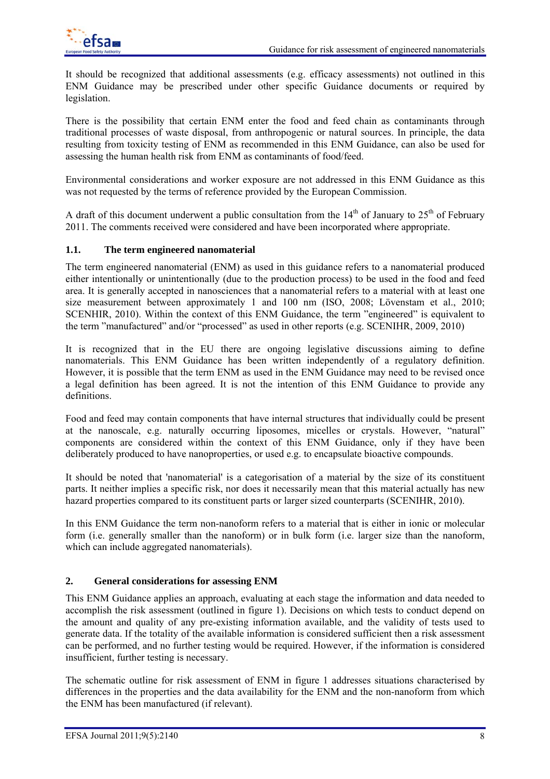

It should be recognized that additional assessments (e.g. efficacy assessments) not outlined in this ENM Guidance may be prescribed under other specific Guidance documents or required by legislation.

There is the possibility that certain ENM enter the food and feed chain as contaminants through traditional processes of waste disposal, from anthropogenic or natural sources. In principle, the data resulting from toxicity testing of ENM as recommended in this ENM Guidance, can also be used for assessing the human health risk from ENM as contaminants of food/feed.

Environmental considerations and worker exposure are not addressed in this ENM Guidance as this was not requested by the terms of reference provided by the European Commission.

A draft of this document underwent a public consultation from the  $14<sup>th</sup>$  of January to  $25<sup>th</sup>$  of February 2011. The comments received were considered and have been incorporated where appropriate.

### **1.1. The term engineered nanomaterial**

The term engineered nanomaterial (ENM) as used in this guidance refers to a nanomaterial produced either intentionally or unintentionally (due to the production process) to be used in the food and feed area. It is generally accepted in nanosciences that a nanomaterial refers to a material with at least one size measurement between approximately 1 and 100 nm (ISO, 2008; Lövenstam et al., 2010; SCENHIR, 2010). Within the context of this ENM Guidance, the term "engineered" is equivalent to the term "manufactured" and/or "processed" as used in other reports (e.g. SCENIHR, 2009, 2010)

It is recognized that in the EU there are ongoing legislative discussions aiming to define nanomaterials. This ENM Guidance has been written independently of a regulatory definition. However, it is possible that the term ENM as used in the ENM Guidance may need to be revised once a legal definition has been agreed. It is not the intention of this ENM Guidance to provide any definitions.

Food and feed may contain components that have internal structures that individually could be present at the nanoscale, e.g. naturally occurring liposomes, micelles or crystals. However, "natural" components are considered within the context of this ENM Guidance, only if they have been deliberately produced to have nanoproperties, or used e.g. to encapsulate bioactive compounds.

It should be noted that 'nanomaterial' is a categorisation of a material by the size of its constituent parts. It neither implies a specific risk, nor does it necessarily mean that this material actually has new hazard properties compared to its constituent parts or larger sized counterparts (SCENIHR, 2010).

In this ENM Guidance the term non-nanoform refers to a material that is either in ionic or molecular form (i.e. generally smaller than the nanoform) or in bulk form (i.e. larger size than the nanoform, which can include aggregated nanomaterials).

### **2. General considerations for assessing ENM**

This ENM Guidance applies an approach, evaluating at each stage the information and data needed to accomplish the risk assessment (outlined in figure 1). Decisions on which tests to conduct depend on the amount and quality of any pre-existing information available, and the validity of tests used to generate data. If the totality of the available information is considered sufficient then a risk assessment can be performed, and no further testing would be required. However, if the information is considered insufficient, further testing is necessary.

The schematic outline for risk assessment of ENM in figure 1 addresses situations characterised by differences in the properties and the data availability for the ENM and the non-nanoform from which the ENM has been manufactured (if relevant).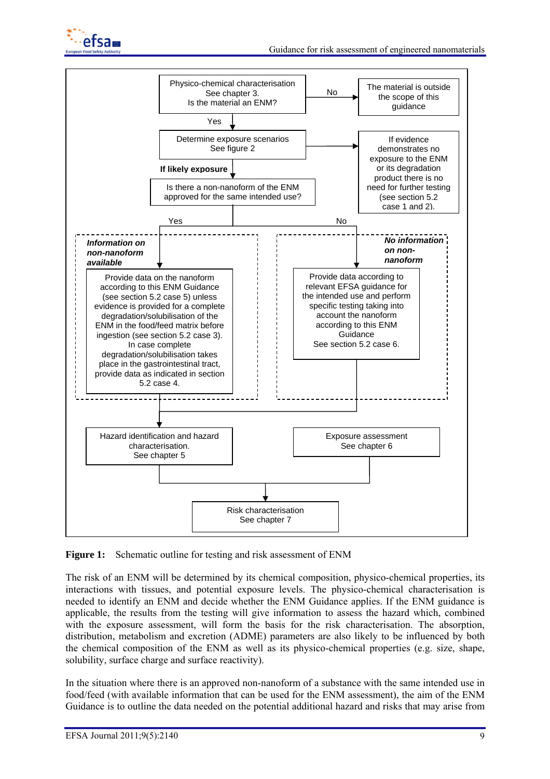



**Figure 1:** Schematic outline for testing and risk assessment of ENM

The risk of an ENM will be determined by its chemical composition, physico-chemical properties, its interactions with tissues, and potential exposure levels. The physico-chemical characterisation is needed to identify an ENM and decide whether the ENM Guidance applies. If the ENM guidance is applicable, the results from the testing will give information to assess the hazard which, combined with the exposure assessment, will form the basis for the risk characterisation. The absorption, distribution, metabolism and excretion (ADME) parameters are also likely to be influenced by both the chemical composition of the ENM as well as its physico-chemical properties (e.g. size, shape, solubility, surface charge and surface reactivity).

In the situation where there is an approved non-nanoform of a substance with the same intended use in food/feed (with available information that can be used for the ENM assessment), the aim of the ENM Guidance is to outline the data needed on the potential additional hazard and risks that may arise from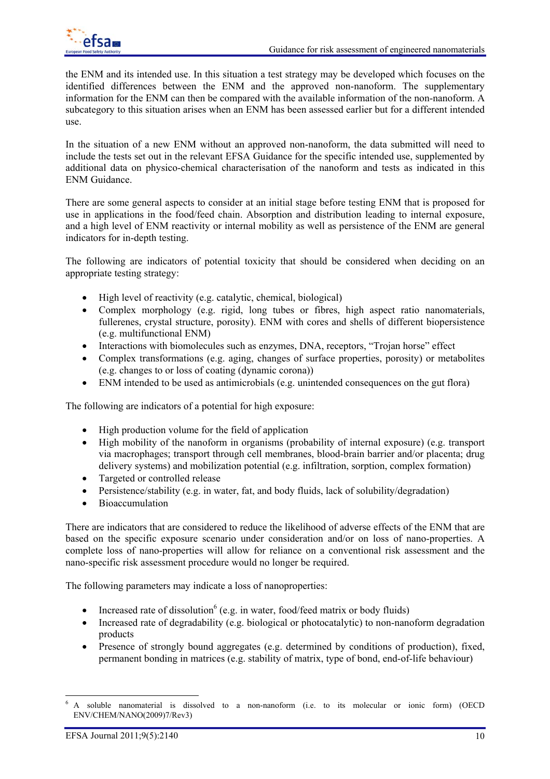the ENM and its intended use. In this situation a test strategy may be developed which focuses on the identified differences between the ENM and the approved non-nanoform. The supplementary information for the ENM can then be compared with the available information of the non-nanoform. A subcategory to this situation arises when an ENM has been assessed earlier but for a different intended use.

In the situation of a new ENM without an approved non-nanoform, the data submitted will need to include the tests set out in the relevant EFSA Guidance for the specific intended use, supplemented by additional data on physico-chemical characterisation of the nanoform and tests as indicated in this ENM Guidance.

There are some general aspects to consider at an initial stage before testing ENM that is proposed for use in applications in the food/feed chain. Absorption and distribution leading to internal exposure, and a high level of ENM reactivity or internal mobility as well as persistence of the ENM are general indicators for in-depth testing.

The following are indicators of potential toxicity that should be considered when deciding on an appropriate testing strategy:

- High level of reactivity (e.g. catalytic, chemical, biological)
- Complex morphology (e.g. rigid, long tubes or fibres, high aspect ratio nanomaterials, fullerenes, crystal structure, porosity). ENM with cores and shells of different biopersistence (e.g. multifunctional ENM)
- Interactions with biomolecules such as enzymes, DNA, receptors, "Trojan horse" effect
- Complex transformations (e.g. aging, changes of surface properties, porosity) or metabolites (e.g. changes to or loss of coating (dynamic corona))
- ENM intended to be used as antimicrobials (e.g. unintended consequences on the gut flora)

The following are indicators of a potential for high exposure:

- High production volume for the field of application
- High mobility of the nanoform in organisms (probability of internal exposure) (e.g. transport via macrophages; transport through cell membranes, blood-brain barrier and/or placenta; drug delivery systems) and mobilization potential (e.g. infiltration, sorption, complex formation)
- Targeted or controlled release
- Persistence/stability (e.g. in water, fat, and body fluids, lack of solubility/degradation)
- Bioaccumulation

There are indicators that are considered to reduce the likelihood of adverse effects of the ENM that are based on the specific exposure scenario under consideration and/or on loss of nano-properties. A complete loss of nano-properties will allow for reliance on a conventional risk assessment and the nano-specific risk assessment procedure would no longer be required.

The following parameters may indicate a loss of nanoproperties:

- Increased rate of dissolution<sup>6</sup> (e.g. in water, food/feed matrix or body fluids)
- Increased rate of degradability (e.g. biological or photocatalytic) to non-nanoform degradation products
- Presence of strongly bound aggregates (e.g. determined by conditions of production), fixed, permanent bonding in matrices (e.g. stability of matrix, type of bond, end-of-life behaviour)

l 6 A soluble nanomaterial is dissolved to a non-nanoform (i.e. to its molecular or ionic form) (OECD ENV/CHEM/NANO(2009)7/Rev3)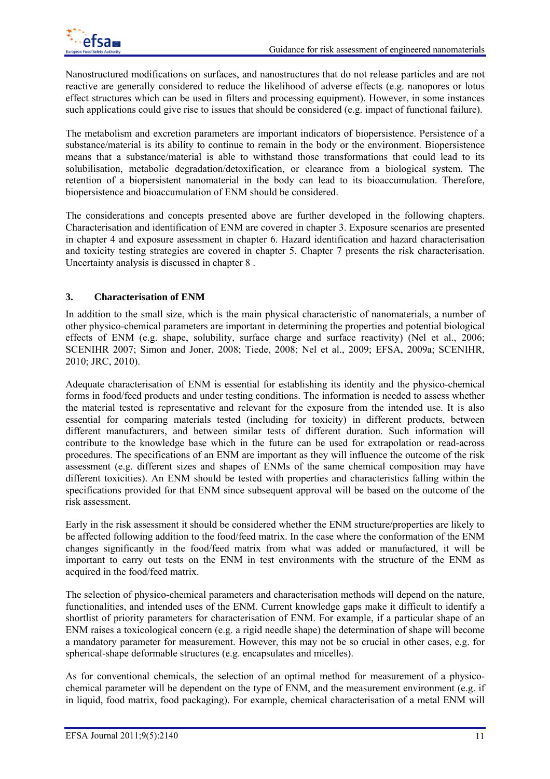Nanostructured modifications on surfaces, and nanostructures that do not release particles and are not reactive are generally considered to reduce the likelihood of adverse effects (e.g. nanopores or lotus effect structures which can be used in filters and processing equipment). However, in some instances such applications could give rise to issues that should be considered (e.g. impact of functional failure).

The metabolism and excretion parameters are important indicators of biopersistence. Persistence of a substance/material is its ability to continue to remain in the body or the environment. Biopersistence means that a substance/material is able to withstand those transformations that could lead to its solubilisation, metabolic degradation/detoxification, or clearance from a biological system. The retention of a biopersistent nanomaterial in the body can lead to its bioaccumulation. Therefore, biopersistence and bioaccumulation of ENM should be considered.

The considerations and concepts presented above are further developed in the following chapters. Characterisation and identification of ENM are covered in chapter 3. Exposure scenarios are presented in chapter 4 and exposure assessment in chapter 6. Hazard identification and hazard characterisation and toxicity testing strategies are covered in chapter 5. Chapter 7 presents the risk characterisation. Uncertainty analysis is discussed in chapter 8 .

## **3. Characterisation of ENM**

In addition to the small size, which is the main physical characteristic of nanomaterials, a number of other physico-chemical parameters are important in determining the properties and potential biological effects of ENM (e.g. shape, solubility, surface charge and surface reactivity) (Nel et al., 2006; SCENIHR 2007; Simon and Joner, 2008; Tiede, 2008; Nel et al., 2009; EFSA, 2009a; SCENIHR, 2010; JRC, 2010).

Adequate characterisation of ENM is essential for establishing its identity and the physico-chemical forms in food/feed products and under testing conditions. The information is needed to assess whether the material tested is representative and relevant for the exposure from the intended use. It is also essential for comparing materials tested (including for toxicity) in different products, between different manufacturers, and between similar tests of different duration. Such information will contribute to the knowledge base which in the future can be used for extrapolation or read-across procedures. The specifications of an ENM are important as they will influence the outcome of the risk assessment (e.g. different sizes and shapes of ENMs of the same chemical composition may have different toxicities). An ENM should be tested with properties and characteristics falling within the specifications provided for that ENM since subsequent approval will be based on the outcome of the risk assessment.

Early in the risk assessment it should be considered whether the ENM structure/properties are likely to be affected following addition to the food/feed matrix. In the case where the conformation of the ENM changes significantly in the food/feed matrix from what was added or manufactured, it will be important to carry out tests on the ENM in test environments with the structure of the ENM as acquired in the food/feed matrix.

The selection of physico-chemical parameters and characterisation methods will depend on the nature, functionalities, and intended uses of the ENM. Current knowledge gaps make it difficult to identify a shortlist of priority parameters for characterisation of ENM. For example, if a particular shape of an ENM raises a toxicological concern (e.g. a rigid needle shape) the determination of shape will become a mandatory parameter for measurement. However, this may not be so crucial in other cases, e.g. for spherical-shape deformable structures (e.g. encapsulates and micelles).

As for conventional chemicals, the selection of an optimal method for measurement of a physicochemical parameter will be dependent on the type of ENM, and the measurement environment (e.g. if in liquid, food matrix, food packaging). For example, chemical characterisation of a metal ENM will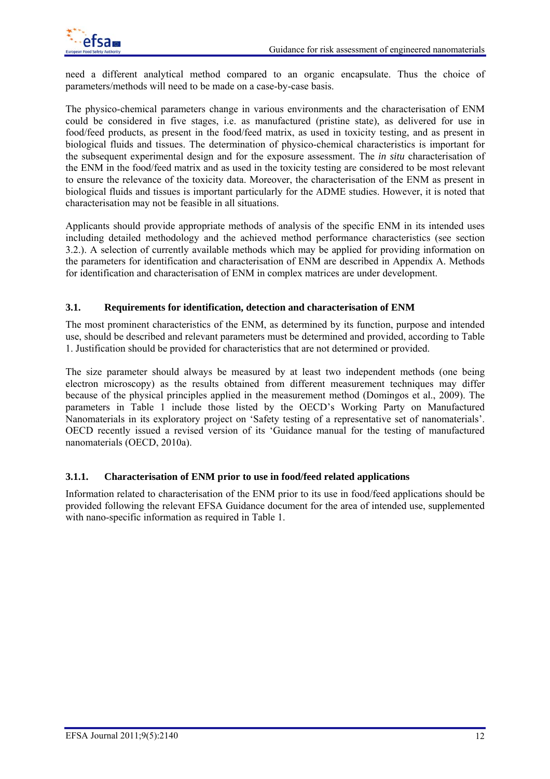

need a different analytical method compared to an organic encapsulate. Thus the choice of parameters/methods will need to be made on a case-by-case basis.

The physico-chemical parameters change in various environments and the characterisation of ENM could be considered in five stages, i.e. as manufactured (pristine state), as delivered for use in food/feed products, as present in the food/feed matrix, as used in toxicity testing, and as present in biological fluids and tissues. The determination of physico-chemical characteristics is important for the subsequent experimental design and for the exposure assessment. The *in situ* characterisation of the ENM in the food/feed matrix and as used in the toxicity testing are considered to be most relevant to ensure the relevance of the toxicity data. Moreover, the characterisation of the ENM as present in biological fluids and tissues is important particularly for the ADME studies. However, it is noted that characterisation may not be feasible in all situations.

Applicants should provide appropriate methods of analysis of the specific ENM in its intended uses including detailed methodology and the achieved method performance characteristics (see section 3.2.). A selection of currently available methods which may be applied for providing information on the parameters for identification and characterisation of ENM are described in Appendix A. Methods for identification and characterisation of ENM in complex matrices are under development.

### **3.1. Requirements for identification, detection and characterisation of ENM**

The most prominent characteristics of the ENM, as determined by its function, purpose and intended use, should be described and relevant parameters must be determined and provided, according to Table 1. Justification should be provided for characteristics that are not determined or provided.

The size parameter should always be measured by at least two independent methods (one being electron microscopy) as the results obtained from different measurement techniques may differ because of the physical principles applied in the measurement method (Domingos et al., 2009). The parameters in Table 1 include those listed by the OECD's Working Party on Manufactured Nanomaterials in its exploratory project on 'Safety testing of a representative set of nanomaterials'. OECD recently issued a revised version of its 'Guidance manual for the testing of manufactured nanomaterials (OECD, 2010a).

### **3.1.1. Characterisation of ENM prior to use in food/feed related applications**

Information related to characterisation of the ENM prior to its use in food/feed applications should be provided following the relevant EFSA Guidance document for the area of intended use, supplemented with nano-specific information as required in Table 1.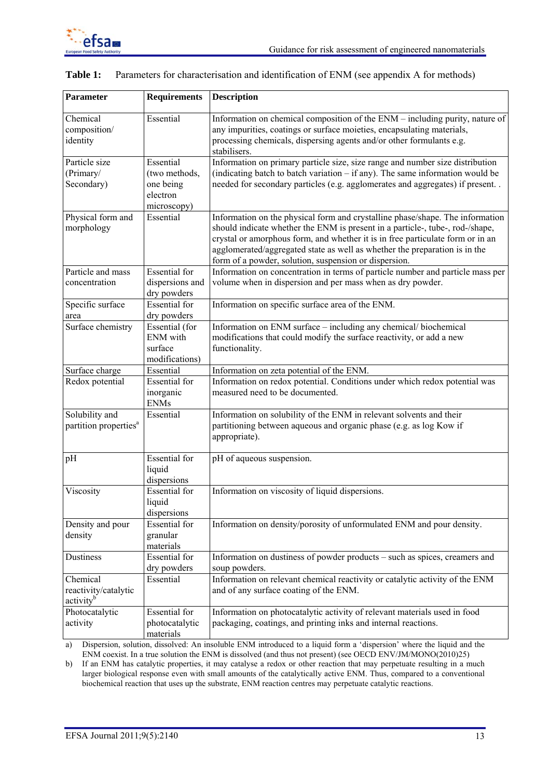

| <b>Parameter</b>                                          | <b>Requirements</b>                                                | <b>Description</b>                                                                                                                                                                                                                                                                                                                                                                      |
|-----------------------------------------------------------|--------------------------------------------------------------------|-----------------------------------------------------------------------------------------------------------------------------------------------------------------------------------------------------------------------------------------------------------------------------------------------------------------------------------------------------------------------------------------|
| Chemical<br>composition/<br>identity                      | Essential                                                          | Information on chemical composition of the ENM – including purity, nature of<br>any impurities, coatings or surface moieties, encapsulating materials,<br>processing chemicals, dispersing agents and/or other formulants e.g.<br>stabilisers.                                                                                                                                          |
| Particle size<br>(Primary/<br>Secondary)                  | Essential<br>(two methods,<br>one being<br>electron<br>microscopy) | Information on primary particle size, size range and number size distribution<br>(indicating batch to batch variation $-$ if any). The same information would be<br>needed for secondary particles (e.g. agglomerates and aggregates) if present                                                                                                                                        |
| Physical form and<br>morphology                           | Essential                                                          | Information on the physical form and crystalline phase/shape. The information<br>should indicate whether the ENM is present in a particle-, tube-, rod-/shape,<br>crystal or amorphous form, and whether it is in free particulate form or in an<br>agglomerated/aggregated state as well as whether the preparation is in the<br>form of a powder, solution, suspension or dispersion. |
| Particle and mass<br>concentration                        | <b>Essential</b> for<br>dispersions and<br>dry powders             | Information on concentration in terms of particle number and particle mass per<br>volume when in dispersion and per mass when as dry powder.                                                                                                                                                                                                                                            |
| Specific surface<br>area                                  | <b>Essential</b> for<br>dry powders                                | Information on specific surface area of the ENM.                                                                                                                                                                                                                                                                                                                                        |
| Surface chemistry                                         | Essential (for<br><b>ENM</b> with<br>surface<br>modifications)     | Information on ENM surface – including any chemical/biochemical<br>modifications that could modify the surface reactivity, or add a new<br>functionality.                                                                                                                                                                                                                               |
| Surface charge                                            | Essential                                                          | Information on zeta potential of the ENM.                                                                                                                                                                                                                                                                                                                                               |
| Redox potential                                           | <b>Essential</b> for<br>inorganic<br><b>ENMs</b>                   | Information on redox potential. Conditions under which redox potential was<br>measured need to be documented.                                                                                                                                                                                                                                                                           |
| Solubility and<br>partition properties <sup>a</sup>       | Essential                                                          | Information on solubility of the ENM in relevant solvents and their<br>partitioning between aqueous and organic phase (e.g. as log Kow if<br>appropriate).                                                                                                                                                                                                                              |
| pH                                                        | <b>Essential</b> for<br>liquid<br>dispersions                      | pH of aqueous suspension.                                                                                                                                                                                                                                                                                                                                                               |
| Viscosity                                                 | <b>Essential</b> for<br>liquid<br>dispersions                      | Information on viscosity of liquid dispersions.                                                                                                                                                                                                                                                                                                                                         |
| Density and pour<br>density                               | <b>Essential</b> for<br>granular<br>materials                      | Information on density/porosity of unformulated ENM and pour density.                                                                                                                                                                                                                                                                                                                   |
| Dustiness                                                 | <b>Essential</b> for<br>dry powders                                | Information on dustiness of powder products – such as spices, creamers and<br>soup powders.                                                                                                                                                                                                                                                                                             |
| Chemical<br>reactivity/catalytic<br>activity <sup>b</sup> | Essential                                                          | Information on relevant chemical reactivity or catalytic activity of the ENM<br>and of any surface coating of the ENM.                                                                                                                                                                                                                                                                  |
| Photocatalytic<br>activity                                | <b>Essential</b> for<br>photocatalytic<br>materials                | Information on photocatalytic activity of relevant materials used in food<br>packaging, coatings, and printing inks and internal reactions.                                                                                                                                                                                                                                             |

### Table 1: Parameters for characterisation and identification of ENM (see appendix A for methods)

a) Dispersion, solution, dissolved: An insoluble ENM introduced to a liquid form a 'dispersion' where the liquid and the ENM coexist. In a true solution the ENM is dissolved (and thus not present) (see OECD ENV/JM/MONO(2010)25)

b) If an ENM has catalytic properties, it may catalyse a redox or other reaction that may perpetuate resulting in a much larger biological response even with small amounts of the catalytically active ENM. Thus, compared to a conventional biochemical reaction that uses up the substrate, ENM reaction centres may perpetuate catalytic reactions.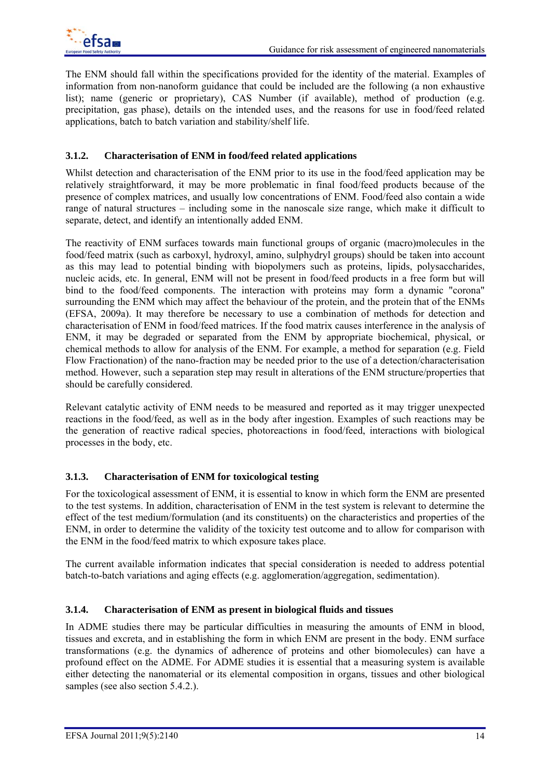The ENM should fall within the specifications provided for the identity of the material. Examples of information from non-nanoform guidance that could be included are the following (a non exhaustive list); name (generic or proprietary), CAS Number (if available), method of production (e.g. precipitation, gas phase), details on the intended uses, and the reasons for use in food/feed related applications, batch to batch variation and stability/shelf life.

## **3.1.2. Characterisation of ENM in food/feed related applications**

Whilst detection and characterisation of the ENM prior to its use in the food/feed application may be relatively straightforward, it may be more problematic in final food/feed products because of the presence of complex matrices, and usually low concentrations of ENM. Food/feed also contain a wide range of natural structures – including some in the nanoscale size range, which make it difficult to separate, detect, and identify an intentionally added ENM.

The reactivity of ENM surfaces towards main functional groups of organic (macro)molecules in the food/feed matrix (such as carboxyl, hydroxyl, amino, sulphydryl groups) should be taken into account as this may lead to potential binding with biopolymers such as proteins, lipids, polysaccharides, nucleic acids, etc. In general, ENM will not be present in food/feed products in a free form but will bind to the food/feed components. The interaction with proteins may form a dynamic "corona" surrounding the ENM which may affect the behaviour of the protein, and the protein that of the ENMs (EFSA, 2009a). It may therefore be necessary to use a combination of methods for detection and characterisation of ENM in food/feed matrices. If the food matrix causes interference in the analysis of ENM, it may be degraded or separated from the ENM by appropriate biochemical, physical, or chemical methods to allow for analysis of the ENM. For example, a method for separation (e.g. Field Flow Fractionation) of the nano-fraction may be needed prior to the use of a detection/characterisation method. However, such a separation step may result in alterations of the ENM structure/properties that should be carefully considered.

Relevant catalytic activity of ENM needs to be measured and reported as it may trigger unexpected reactions in the food/feed, as well as in the body after ingestion. Examples of such reactions may be the generation of reactive radical species, photoreactions in food/feed, interactions with biological processes in the body, etc.

## **3.1.3. Characterisation of ENM for toxicological testing**

For the toxicological assessment of ENM, it is essential to know in which form the ENM are presented to the test systems. In addition, characterisation of ENM in the test system is relevant to determine the effect of the test medium/formulation (and its constituents) on the characteristics and properties of the ENM, in order to determine the validity of the toxicity test outcome and to allow for comparison with the ENM in the food/feed matrix to which exposure takes place.

The current available information indicates that special consideration is needed to address potential batch-to-batch variations and aging effects (e.g. agglomeration/aggregation, sedimentation).

### **3.1.4. Characterisation of ENM as present in biological fluids and tissues**

In ADME studies there may be particular difficulties in measuring the amounts of ENM in blood, tissues and excreta, and in establishing the form in which ENM are present in the body. ENM surface transformations (e.g. the dynamics of adherence of proteins and other biomolecules) can have a profound effect on the ADME. For ADME studies it is essential that a measuring system is available either detecting the nanomaterial or its elemental composition in organs, tissues and other biological samples (see also section 5.4.2.).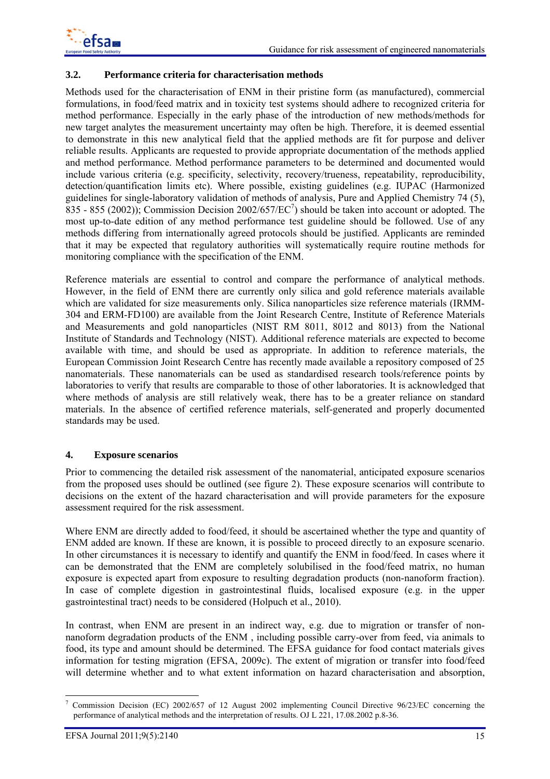

### **3.2. Performance criteria for characterisation methods**

Methods used for the characterisation of ENM in their pristine form (as manufactured), commercial formulations, in food/feed matrix and in toxicity test systems should adhere to recognized criteria for method performance. Especially in the early phase of the introduction of new methods/methods for new target analytes the measurement uncertainty may often be high. Therefore, it is deemed essential to demonstrate in this new analytical field that the applied methods are fit for purpose and deliver reliable results. Applicants are requested to provide appropriate documentation of the methods applied and method performance. Method performance parameters to be determined and documented would include various criteria (e.g. specificity, selectivity, recovery/trueness, repeatability, reproducibility, detection/quantification limits etc). Where possible, existing guidelines (e.g. IUPAC (Harmonized guidelines for single-laboratory validation of methods of analysis, Pure and Applied Chemistry 74 (5),  $835 - 855$  (2002)); Commission Decision 2002/657/EC<sup>7</sup>) should be taken into account or adopted. The most up-to-date edition of any method performance test guideline should be followed. Use of any methods differing from internationally agreed protocols should be justified. Applicants are reminded that it may be expected that regulatory authorities will systematically require routine methods for monitoring compliance with the specification of the ENM.

Reference materials are essential to control and compare the performance of analytical methods. However, in the field of ENM there are currently only silica and gold reference materials available which are validated for size measurements only. Silica nanoparticles size reference materials (IRMM-304 and ERM-FD100) are available from the Joint Research Centre, Institute of Reference Materials and Measurements and gold nanoparticles (NIST RM 8011, 8012 and 8013) from the National Institute of Standards and Technology (NIST). Additional reference materials are expected to become available with time, and should be used as appropriate. In addition to reference materials, the European Commission Joint Research Centre has recently made available a repository composed of 25 nanomaterials. These nanomaterials can be used as standardised research tools/reference points by laboratories to verify that results are comparable to those of other laboratories. It is acknowledged that where methods of analysis are still relatively weak, there has to be a greater reliance on standard materials. In the absence of certified reference materials, self-generated and properly documented standards may be used.

#### **4. Exposure scenarios**

Prior to commencing the detailed risk assessment of the nanomaterial, anticipated exposure scenarios from the proposed uses should be outlined (see figure 2). These exposure scenarios will contribute to decisions on the extent of the hazard characterisation and will provide parameters for the exposure assessment required for the risk assessment.

Where ENM are directly added to food/feed, it should be ascertained whether the type and quantity of ENM added are known. If these are known, it is possible to proceed directly to an exposure scenario. In other circumstances it is necessary to identify and quantify the ENM in food/feed. In cases where it can be demonstrated that the ENM are completely solubilised in the food/feed matrix, no human exposure is expected apart from exposure to resulting degradation products (non-nanoform fraction). In case of complete digestion in gastrointestinal fluids, localised exposure (e.g. in the upper gastrointestinal tract) needs to be considered (Holpuch et al., 2010).

In contrast, when ENM are present in an indirect way, e.g. due to migration or transfer of nonnanoform degradation products of the ENM , including possible carry-over from feed, via animals to food, its type and amount should be determined. The EFSA guidance for food contact materials gives information for testing migration (EFSA, 2009c). The extent of migration or transfer into food/feed will determine whether and to what extent information on hazard characterisation and absorption,

l 7 Commission Decision (EC) 2002/657 of 12 August 2002 implementing Council Directive 96/23/EC concerning the performance of analytical methods and the interpretation of results. OJ L 221, 17.08.2002 p.8-36.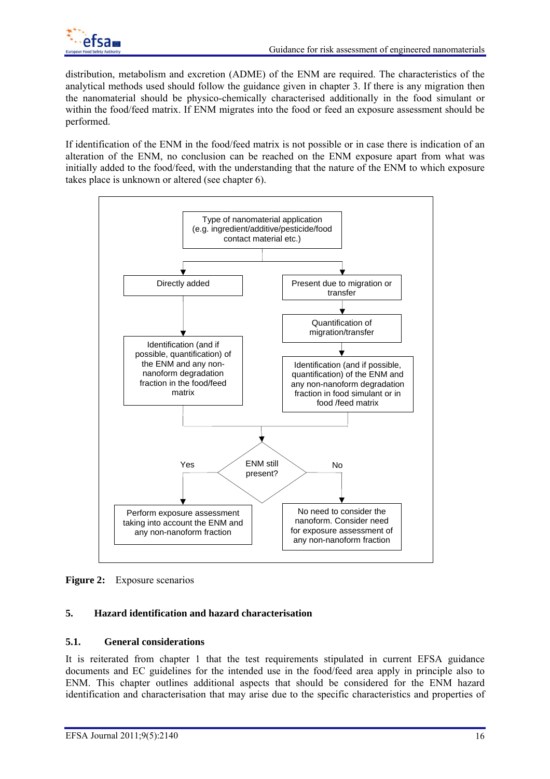

distribution, metabolism and excretion (ADME) of the ENM are required. The characteristics of the analytical methods used should follow the guidance given in chapter 3. If there is any migration then the nanomaterial should be physico-chemically characterised additionally in the food simulant or within the food/feed matrix. If ENM migrates into the food or feed an exposure assessment should be performed.

If identification of the ENM in the food/feed matrix is not possible or in case there is indication of an alteration of the ENM, no conclusion can be reached on the ENM exposure apart from what was initially added to the food/feed, with the understanding that the nature of the ENM to which exposure takes place is unknown or altered (see chapter 6).



**Figure 2:** Exposure scenarios

## **5. Hazard identification and hazard characterisation**

### **5.1. General considerations**

It is reiterated from chapter 1 that the test requirements stipulated in current EFSA guidance documents and EC guidelines for the intended use in the food/feed area apply in principle also to ENM. This chapter outlines additional aspects that should be considered for the ENM hazard identification and characterisation that may arise due to the specific characteristics and properties of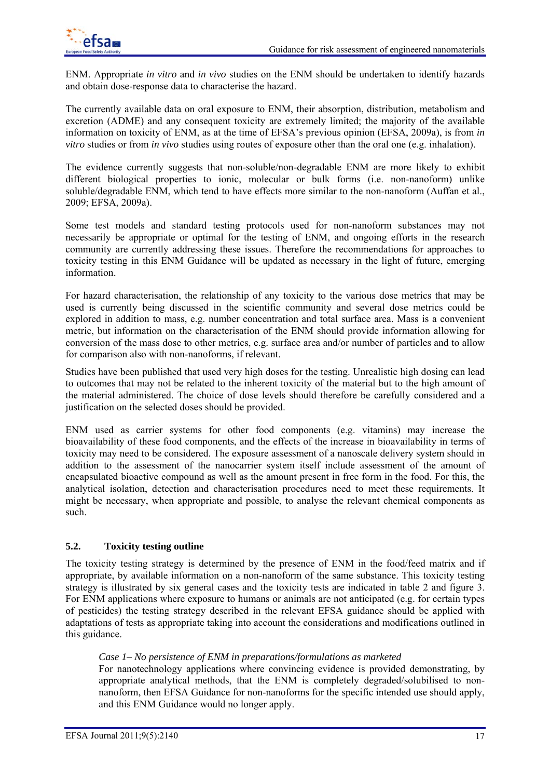

ENM. Appropriate *in vitro* and *in vivo* studies on the ENM should be undertaken to identify hazards and obtain dose-response data to characterise the hazard.

The currently available data on oral exposure to ENM, their absorption, distribution, metabolism and excretion (ADME) and any consequent toxicity are extremely limited; the majority of the available information on toxicity of ENM, as at the time of EFSA's previous opinion (EFSA, 2009a), is from *in vitro* studies or from *in vivo* studies using routes of exposure other than the oral one (e.g. inhalation).

The evidence currently suggests that non-soluble/non-degradable ENM are more likely to exhibit different biological properties to ionic, molecular or bulk forms (i.e. non-nanoform) unlike soluble/degradable ENM, which tend to have effects more similar to the non-nanoform (Auffan et al., 2009; EFSA, 2009a).

Some test models and standard testing protocols used for non-nanoform substances may not necessarily be appropriate or optimal for the testing of ENM, and ongoing efforts in the research community are currently addressing these issues. Therefore the recommendations for approaches to toxicity testing in this ENM Guidance will be updated as necessary in the light of future, emerging information.

For hazard characterisation, the relationship of any toxicity to the various dose metrics that may be used is currently being discussed in the scientific community and several dose metrics could be explored in addition to mass, e.g. number concentration and total surface area. Mass is a convenient metric, but information on the characterisation of the ENM should provide information allowing for conversion of the mass dose to other metrics, e.g. surface area and/or number of particles and to allow for comparison also with non-nanoforms, if relevant.

Studies have been published that used very high doses for the testing. Unrealistic high dosing can lead to outcomes that may not be related to the inherent toxicity of the material but to the high amount of the material administered. The choice of dose levels should therefore be carefully considered and a justification on the selected doses should be provided.

ENM used as carrier systems for other food components (e.g. vitamins) may increase the bioavailability of these food components, and the effects of the increase in bioavailability in terms of toxicity may need to be considered. The exposure assessment of a nanoscale delivery system should in addition to the assessment of the nanocarrier system itself include assessment of the amount of encapsulated bioactive compound as well as the amount present in free form in the food. For this, the analytical isolation, detection and characterisation procedures need to meet these requirements. It might be necessary, when appropriate and possible, to analyse the relevant chemical components as such.

### **5.2. Toxicity testing outline**

The toxicity testing strategy is determined by the presence of ENM in the food/feed matrix and if appropriate, by available information on a non-nanoform of the same substance. This toxicity testing strategy is illustrated by six general cases and the toxicity tests are indicated in table 2 and figure 3. For ENM applications where exposure to humans or animals are not anticipated (e.g. for certain types of pesticides) the testing strategy described in the relevant EFSA guidance should be applied with adaptations of tests as appropriate taking into account the considerations and modifications outlined in this guidance.

### *Case 1– No persistence of ENM in preparations/formulations as marketed*

For nanotechnology applications where convincing evidence is provided demonstrating, by appropriate analytical methods, that the ENM is completely degraded/solubilised to nonnanoform, then EFSA Guidance for non-nanoforms for the specific intended use should apply, and this ENM Guidance would no longer apply.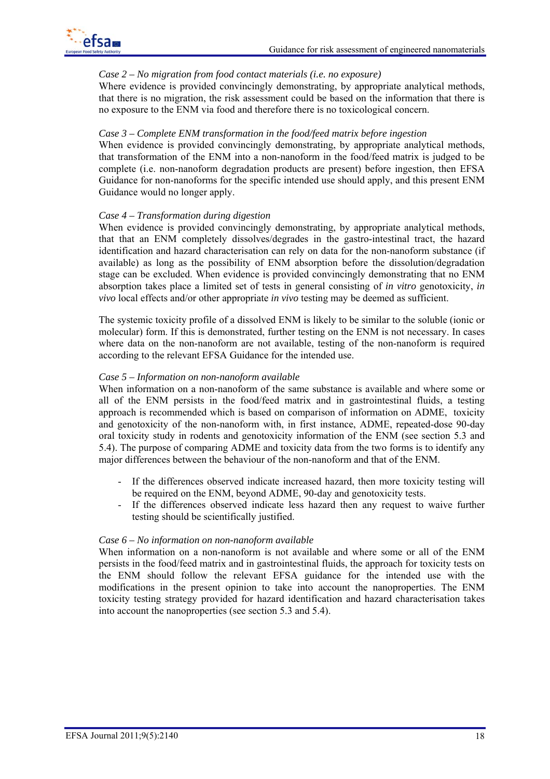

#### *Case 2 – No migration from food contact materials (i.e. no exposure)*

Where evidence is provided convincingly demonstrating, by appropriate analytical methods, that there is no migration, the risk assessment could be based on the information that there is no exposure to the ENM via food and therefore there is no toxicological concern.

### *Case 3 – Complete ENM transformation in the food/feed matrix before ingestion*

When evidence is provided convincingly demonstrating, by appropriate analytical methods, that transformation of the ENM into a non-nanoform in the food/feed matrix is judged to be complete (i.e. non-nanoform degradation products are present) before ingestion, then EFSA Guidance for non-nanoforms for the specific intended use should apply, and this present ENM Guidance would no longer apply.

#### *Case 4 – Transformation during digestion*

When evidence is provided convincingly demonstrating, by appropriate analytical methods, that that an ENM completely dissolves/degrades in the gastro-intestinal tract, the hazard identification and hazard characterisation can rely on data for the non-nanoform substance (if available) as long as the possibility of ENM absorption before the dissolution/degradation stage can be excluded. When evidence is provided convincingly demonstrating that no ENM absorption takes place a limited set of tests in general consisting of *in vitro* genotoxicity, *in vivo* local effects and/or other appropriate *in vivo* testing may be deemed as sufficient.

The systemic toxicity profile of a dissolved ENM is likely to be similar to the soluble (ionic or molecular) form. If this is demonstrated, further testing on the ENM is not necessary. In cases where data on the non-nanoform are not available, testing of the non-nanoform is required according to the relevant EFSA Guidance for the intended use.

#### *Case 5 – Information on non-nanoform available*

When information on a non-nanoform of the same substance is available and where some or all of the ENM persists in the food/feed matrix and in gastrointestinal fluids, a testing approach is recommended which is based on comparison of information on ADME, toxicity and genotoxicity of the non-nanoform with, in first instance, ADME, repeated-dose 90-day oral toxicity study in rodents and genotoxicity information of the ENM (see section 5.3 and 5.4). The purpose of comparing ADME and toxicity data from the two forms is to identify any major differences between the behaviour of the non-nanoform and that of the ENM.

- If the differences observed indicate increased hazard, then more toxicity testing will be required on the ENM, beyond ADME, 90-day and genotoxicity tests.
- If the differences observed indicate less hazard then any request to waive further testing should be scientifically justified.

#### *Case 6 – No information on non-nanoform available*

When information on a non-nanoform is not available and where some or all of the ENM persists in the food/feed matrix and in gastrointestinal fluids, the approach for toxicity tests on the ENM should follow the relevant EFSA guidance for the intended use with the modifications in the present opinion to take into account the nanoproperties. The ENM toxicity testing strategy provided for hazard identification and hazard characterisation takes into account the nanoproperties (see section 5.3 and 5.4).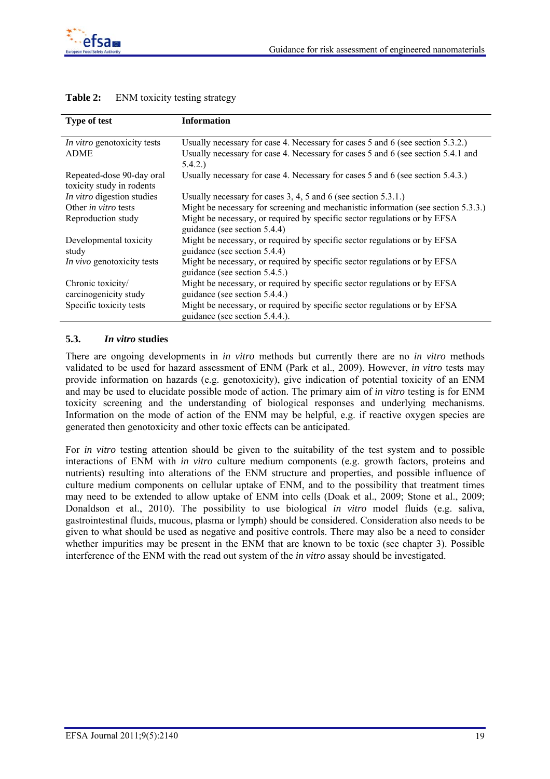

| <b>Type of test</b>               | <b>Information</b>                                                                |
|-----------------------------------|-----------------------------------------------------------------------------------|
| In vitro genotoxicity tests       | Usually necessary for case 4. Necessary for cases 5 and 6 (see section 5.3.2.)    |
| <b>ADME</b>                       | Usually necessary for case 4. Necessary for cases 5 and 6 (see section 5.4.1 and  |
|                                   | 5.4.2.                                                                            |
| Repeated-dose 90-day oral         | Usually necessary for case 4. Necessary for cases 5 and 6 (see section 5.4.3.)    |
| toxicity study in rodents         |                                                                                   |
| <i>In vitro</i> digestion studies | Usually necessary for cases $3, 4, 5$ and 6 (see section $5.3.1$ .)               |
| Other <i>in vitro</i> tests       | Might be necessary for screening and mechanistic information (see section 5.3.3.) |
| Reproduction study                | Might be necessary, or required by specific sector regulations or by EFSA         |
|                                   | guidance (see section 5.4.4)                                                      |
| Developmental toxicity            | Might be necessary, or required by specific sector regulations or by EFSA         |
| study                             | guidance (see section 5.4.4)                                                      |
| In vivo genotoxicity tests        | Might be necessary, or required by specific sector regulations or by EFSA         |
|                                   | guidance (see section 5.4.5.)                                                     |
| Chronic toxicity/                 | Might be necessary, or required by specific sector regulations or by EFSA         |
| carcinogenicity study             | guidance (see section 5.4.4.)                                                     |
| Specific toxicity tests           | Might be necessary, or required by specific sector regulations or by EFSA         |
|                                   | guidance (see section 5.4.4.).                                                    |

#### **Table 2:** ENM toxicity testing strategy

### **5.3.** *In vitro* **studies**

There are ongoing developments in *in vitro* methods but currently there are no *in vitro* methods validated to be used for hazard assessment of ENM (Park et al., 2009). However, *in vitro* tests may provide information on hazards (e.g. genotoxicity), give indication of potential toxicity of an ENM and may be used to elucidate possible mode of action. The primary aim of *in vitro* testing is for ENM toxicity screening and the understanding of biological responses and underlying mechanisms. Information on the mode of action of the ENM may be helpful, e.g. if reactive oxygen species are generated then genotoxicity and other toxic effects can be anticipated.

For *in vitro* testing attention should be given to the suitability of the test system and to possible interactions of ENM with *in vitro* culture medium components (e.g. growth factors, proteins and nutrients) resulting into alterations of the ENM structure and properties, and possible influence of culture medium components on cellular uptake of ENM, and to the possibility that treatment times may need to be extended to allow uptake of ENM into cells (Doak et al., 2009; Stone et al., 2009; Donaldson et al., 2010). The possibility to use biological *in vitro* model fluids (e.g. saliva, gastrointestinal fluids, mucous, plasma or lymph) should be considered. Consideration also needs to be given to what should be used as negative and positive controls. There may also be a need to consider whether impurities may be present in the ENM that are known to be toxic (see chapter 3). Possible interference of the ENM with the read out system of the *in vitro* assay should be investigated.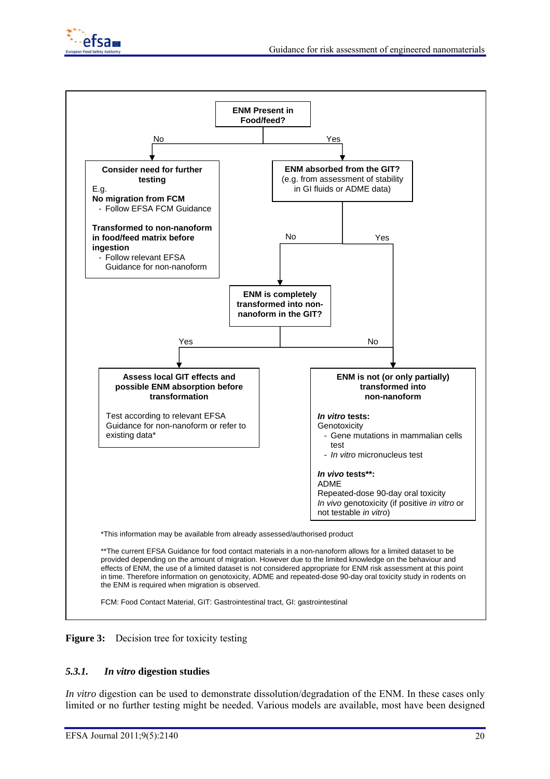





## *5.3.1. In vitro* **digestion studies**

*In vitro* digestion can be used to demonstrate dissolution/degradation of the ENM. In these cases only limited or no further testing might be needed. Various models are available, most have been designed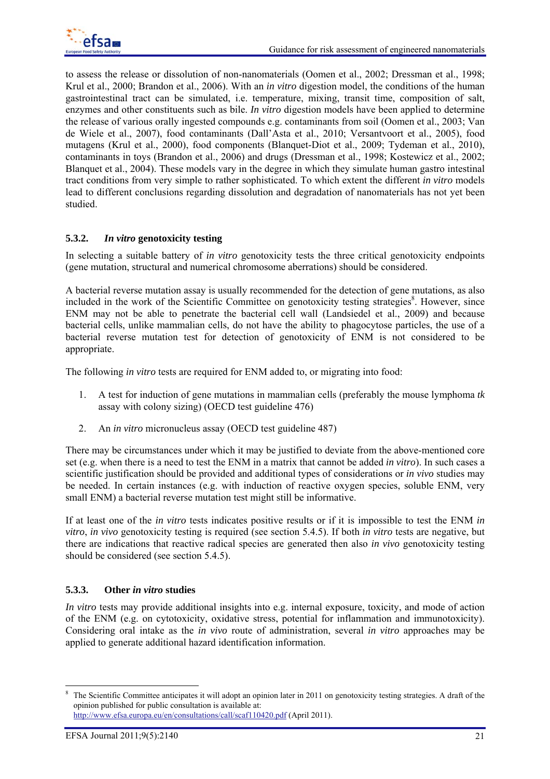to assess the release or dissolution of non-nanomaterials (Oomen et al., 2002; Dressman et al., 1998; Krul et al., 2000; Brandon et al., 2006). With an *in vitro* digestion model, the conditions of the human gastrointestinal tract can be simulated, i.e. temperature, mixing, transit time, composition of salt, enzymes and other constituents such as bile. *In vitro* digestion models have been applied to determine the release of various orally ingested compounds e.g. contaminants from soil (Oomen et al., 2003; Van de Wiele et al., 2007), food contaminants (Dall'Asta et al., 2010; Versantvoort et al., 2005), food mutagens (Krul et al., 2000), food components (Blanquet-Diot et al., 2009; Tydeman et al., 2010), contaminants in toys (Brandon et al., 2006) and drugs (Dressman et al., 1998; Kostewicz et al., 2002; Blanquet et al., 2004). These models vary in the degree in which they simulate human gastro intestinal tract conditions from very simple to rather sophisticated. To which extent the different *in vitro* models lead to different conclusions regarding dissolution and degradation of nanomaterials has not yet been studied.

## **5.3.2.** *In vitro* **genotoxicity testing**

In selecting a suitable battery of *in vitro* genotoxicity tests the three critical genotoxicity endpoints (gene mutation, structural and numerical chromosome aberrations) should be considered.

A bacterial reverse mutation assay is usually recommended for the detection of gene mutations, as also included in the work of the Scientific Committee on genotoxicity testing strategies<sup>8</sup>. However, since ENM may not be able to penetrate the bacterial cell wall (Landsiedel et al., 2009) and because bacterial cells, unlike mammalian cells, do not have the ability to phagocytose particles, the use of a bacterial reverse mutation test for detection of genotoxicity of ENM is not considered to be appropriate.

The following *in vitro* tests are required for ENM added to, or migrating into food:

- 1. A test for induction of gene mutations in mammalian cells (preferably the mouse lymphoma *tk* assay with colony sizing) (OECD test guideline 476)
- 2. An *in vitro* micronucleus assay (OECD test guideline 487)

There may be circumstances under which it may be justified to deviate from the above-mentioned core set (e.g. when there is a need to test the ENM in a matrix that cannot be added *in vitro*). In such cases a scientific justification should be provided and additional types of considerations or *in vivo* studies may be needed. In certain instances (e.g. with induction of reactive oxygen species, soluble ENM, very small ENM) a bacterial reverse mutation test might still be informative.

If at least one of the *in vitro* tests indicates positive results or if it is impossible to test the ENM *in vitro*, *in vivo* genotoxicity testing is required (see section 5.4.5). If both *in vitro* tests are negative, but there are indications that reactive radical species are generated then also *in vivo* genotoxicity testing should be considered (see section 5.4.5).

### **5.3.3. Other** *in vitro* **studies**

*In vitro* tests may provide additional insights into e.g. internal exposure, toxicity, and mode of action of the ENM (e.g. on cytotoxicity, oxidative stress, potential for inflammation and immunotoxicity). Considering oral intake as the *in vivo* route of administration, several *in vitro* approaches may be applied to generate additional hazard identification information.

l

<sup>8</sup> The Scientific Committee anticipates it will adopt an opinion later in 2011 on genotoxicity testing strategies. A draft of the opinion published for public consultation is available at: http://www.efsa.europa.eu/en/consultations/call/scaf110420.pdf (April 2011).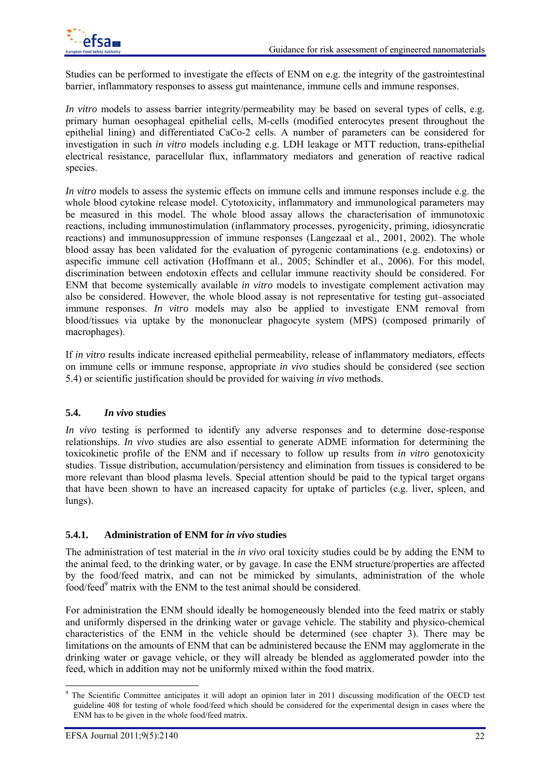

Studies can be performed to investigate the effects of ENM on e.g. the integrity of the gastrointestinal barrier, inflammatory responses to assess gut maintenance, immune cells and immune responses.

*In vitro* models to assess barrier integrity/permeability may be based on several types of cells, e.g. primary human oesophageal epithelial cells, M-cells (modified enterocytes present throughout the epithelial lining) and differentiated CaCo-2 cells. A number of parameters can be considered for investigation in such *in vitro* models including e.g. LDH leakage or MTT reduction, trans-epithelial electrical resistance, paracellular flux, inflammatory mediators and generation of reactive radical species.

*In vitro* models to assess the systemic effects on immune cells and immune responses include e.g. the whole blood cytokine release model. Cytotoxicity, inflammatory and immunological parameters may be measured in this model. The whole blood assay allows the characterisation of immunotoxic reactions, including immunostimulation (inflammatory processes, pyrogenicity, priming, idiosyncratic reactions) and immunosuppression of immune responses (Langezaal et al., 2001, 2002). The whole blood assay has been validated for the evaluation of pyrogenic contaminations (e.g. endotoxins) or aspecific immune cell activation (Hoffmann et al., 2005; Schindler et al., 2006). For this model, discrimination between endotoxin effects and cellular immune reactivity should be considered. For ENM that become systemically available *in vitro* models to investigate complement activation may also be considered. However, the whole blood assay is not representative for testing gut–associated immune responses. *In vitro* models may also be applied to investigate ENM removal from blood/tissues via uptake by the mononuclear phagocyte system (MPS) (composed primarily of macrophages).

If *in vitro* results indicate increased epithelial permeability, release of inflammatory mediators, effects on immune cells or immune response, appropriate *in vivo* studies should be considered (see section 5.4) or scientific justification should be provided for waiving *in vivo* methods.

### **5.4.** *In vivo* **studies**

*In vivo* testing is performed to identify any adverse responses and to determine dose-response relationships. *In vivo* studies are also essential to generate ADME information for determining the toxicokinetic profile of the ENM and if necessary to follow up results from *in vitro* genotoxicity studies. Tissue distribution, accumulation/persistency and elimination from tissues is considered to be more relevant than blood plasma levels. Special attention should be paid to the typical target organs that have been shown to have an increased capacity for uptake of particles (e.g. liver, spleen, and lungs).

### **5.4.1. Administration of ENM for** *in vivo* **studies**

The administration of test material in the *in vivo* oral toxicity studies could be by adding the ENM to the animal feed, to the drinking water, or by gavage. In case the ENM structure/properties are affected by the food/feed matrix, and can not be mimicked by simulants, administration of the whole food/feed<sup>9</sup> matrix with the ENM to the test animal should be considered.

For administration the ENM should ideally be homogeneously blended into the feed matrix or stably and uniformly dispersed in the drinking water or gavage vehicle. The stability and physico-chemical characteristics of the ENM in the vehicle should be determined (see chapter 3). There may be limitations on the amounts of ENM that can be administered because the ENM may agglomerate in the drinking water or gavage vehicle, or they will already be blended as agglomerated powder into the feed, which in addition may not be uniformly mixed within the food matrix.

l

<sup>&</sup>lt;sup>9</sup> The Scientific Committee anticipates it will adopt an opinion later in 2011 discussing modification of the OECD test guideline 408 for testing of whole food/feed which should be considered for the experimental design in cases where the ENM has to be given in the whole food/feed matrix.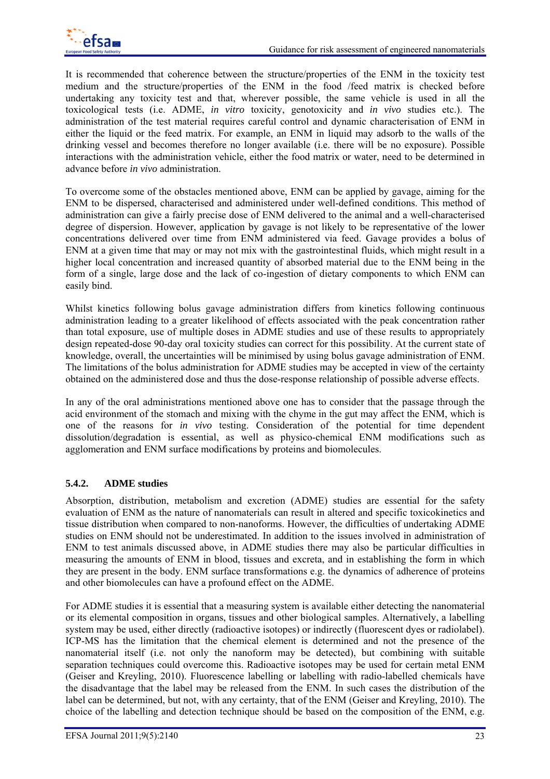It is recommended that coherence between the structure/properties of the ENM in the toxicity test medium and the structure/properties of the ENM in the food /feed matrix is checked before undertaking any toxicity test and that, wherever possible, the same vehicle is used in all the toxicological tests (i.e. ADME, *in vitro* toxicity, genotoxicity and *in vivo* studies etc.). The administration of the test material requires careful control and dynamic characterisation of ENM in either the liquid or the feed matrix. For example, an ENM in liquid may adsorb to the walls of the drinking vessel and becomes therefore no longer available (i.e. there will be no exposure). Possible interactions with the administration vehicle, either the food matrix or water, need to be determined in advance before *in vivo* administration.

To overcome some of the obstacles mentioned above, ENM can be applied by gavage, aiming for the ENM to be dispersed, characterised and administered under well-defined conditions. This method of administration can give a fairly precise dose of ENM delivered to the animal and a well-characterised degree of dispersion. However, application by gavage is not likely to be representative of the lower concentrations delivered over time from ENM administered via feed. Gavage provides a bolus of ENM at a given time that may or may not mix with the gastrointestinal fluids, which might result in a higher local concentration and increased quantity of absorbed material due to the ENM being in the form of a single, large dose and the lack of co-ingestion of dietary components to which ENM can easily bind.

Whilst kinetics following bolus gavage administration differs from kinetics following continuous administration leading to a greater likelihood of effects associated with the peak concentration rather than total exposure, use of multiple doses in ADME studies and use of these results to appropriately design repeated-dose 90-day oral toxicity studies can correct for this possibility. At the current state of knowledge, overall, the uncertainties will be minimised by using bolus gavage administration of ENM. The limitations of the bolus administration for ADME studies may be accepted in view of the certainty obtained on the administered dose and thus the dose-response relationship of possible adverse effects.

In any of the oral administrations mentioned above one has to consider that the passage through the acid environment of the stomach and mixing with the chyme in the gut may affect the ENM, which is one of the reasons for *in vivo* testing. Consideration of the potential for time dependent dissolution/degradation is essential, as well as physico-chemical ENM modifications such as agglomeration and ENM surface modifications by proteins and biomolecules.

## **5.4.2. ADME studies**

Absorption, distribution, metabolism and excretion (ADME) studies are essential for the safety evaluation of ENM as the nature of nanomaterials can result in altered and specific toxicokinetics and tissue distribution when compared to non-nanoforms. However, the difficulties of undertaking ADME studies on ENM should not be underestimated. In addition to the issues involved in administration of ENM to test animals discussed above, in ADME studies there may also be particular difficulties in measuring the amounts of ENM in blood, tissues and excreta, and in establishing the form in which they are present in the body. ENM surface transformations e.g. the dynamics of adherence of proteins and other biomolecules can have a profound effect on the ADME.

For ADME studies it is essential that a measuring system is available either detecting the nanomaterial or its elemental composition in organs, tissues and other biological samples. Alternatively, a labelling system may be used, either directly (radioactive isotopes) or indirectly (fluorescent dyes or radiolabel). ICP-MS has the limitation that the chemical element is determined and not the presence of the nanomaterial itself (i.e. not only the nanoform may be detected), but combining with suitable separation techniques could overcome this. Radioactive isotopes may be used for certain metal ENM (Geiser and Kreyling, 2010). Fluorescence labelling or labelling with radio-labelled chemicals have the disadvantage that the label may be released from the ENM. In such cases the distribution of the label can be determined, but not, with any certainty, that of the ENM (Geiser and Kreyling, 2010). The choice of the labelling and detection technique should be based on the composition of the ENM, e.g.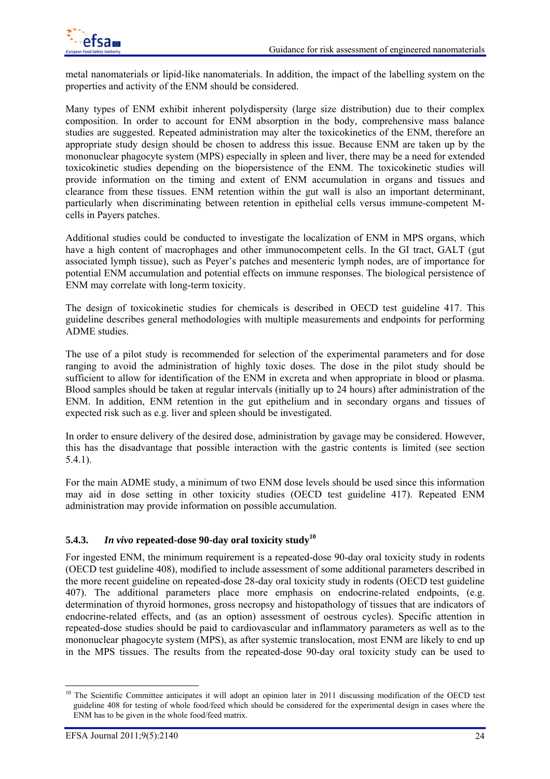

metal nanomaterials or lipid-like nanomaterials. In addition, the impact of the labelling system on the properties and activity of the ENM should be considered.

Many types of ENM exhibit inherent polydispersity (large size distribution) due to their complex composition. In order to account for ENM absorption in the body, comprehensive mass balance studies are suggested. Repeated administration may alter the toxicokinetics of the ENM, therefore an appropriate study design should be chosen to address this issue. Because ENM are taken up by the mononuclear phagocyte system (MPS) especially in spleen and liver, there may be a need for extended toxicokinetic studies depending on the biopersistence of the ENM. The toxicokinetic studies will provide information on the timing and extent of ENM accumulation in organs and tissues and clearance from these tissues. ENM retention within the gut wall is also an important determinant, particularly when discriminating between retention in epithelial cells versus immune-competent Mcells in Payers patches.

Additional studies could be conducted to investigate the localization of ENM in MPS organs, which have a high content of macrophages and other immunocompetent cells. In the GI tract, GALT (gut associated lymph tissue), such as Peyer's patches and mesenteric lymph nodes, are of importance for potential ENM accumulation and potential effects on immune responses. The biological persistence of ENM may correlate with long-term toxicity.

The design of toxicokinetic studies for chemicals is described in OECD test guideline 417. This guideline describes general methodologies with multiple measurements and endpoints for performing ADME studies.

The use of a pilot study is recommended for selection of the experimental parameters and for dose ranging to avoid the administration of highly toxic doses. The dose in the pilot study should be sufficient to allow for identification of the ENM in excreta and when appropriate in blood or plasma. Blood samples should be taken at regular intervals (initially up to 24 hours) after administration of the ENM. In addition, ENM retention in the gut epithelium and in secondary organs and tissues of expected risk such as e.g. liver and spleen should be investigated.

In order to ensure delivery of the desired dose, administration by gavage may be considered. However, this has the disadvantage that possible interaction with the gastric contents is limited (see section 5.4.1).

For the main ADME study, a minimum of two ENM dose levels should be used since this information may aid in dose setting in other toxicity studies (OECD test guideline 417). Repeated ENM administration may provide information on possible accumulation.

## **5.4.3.** *In vivo* **repeated-dose 90-day oral toxicity study<sup>10</sup>**

For ingested ENM, the minimum requirement is a repeated-dose 90-day oral toxicity study in rodents (OECD test guideline 408), modified to include assessment of some additional parameters described in the more recent guideline on repeated-dose 28-day oral toxicity study in rodents (OECD test guideline 407). The additional parameters place more emphasis on endocrine-related endpoints, (e.g. determination of thyroid hormones, gross necropsy and histopathology of tissues that are indicators of endocrine-related effects, and (as an option) assessment of oestrous cycles). Specific attention in repeated-dose studies should be paid to cardiovascular and inflammatory parameters as well as to the mononuclear phagocyte system (MPS), as after systemic translocation, most ENM are likely to end up in the MPS tissues. The results from the repeated-dose 90-day oral toxicity study can be used to

l

<sup>&</sup>lt;sup>10</sup> The Scientific Committee anticipates it will adopt an opinion later in 2011 discussing modification of the OECD test guideline 408 for testing of whole food/feed which should be considered for the experimental design in cases where the ENM has to be given in the whole food/feed matrix.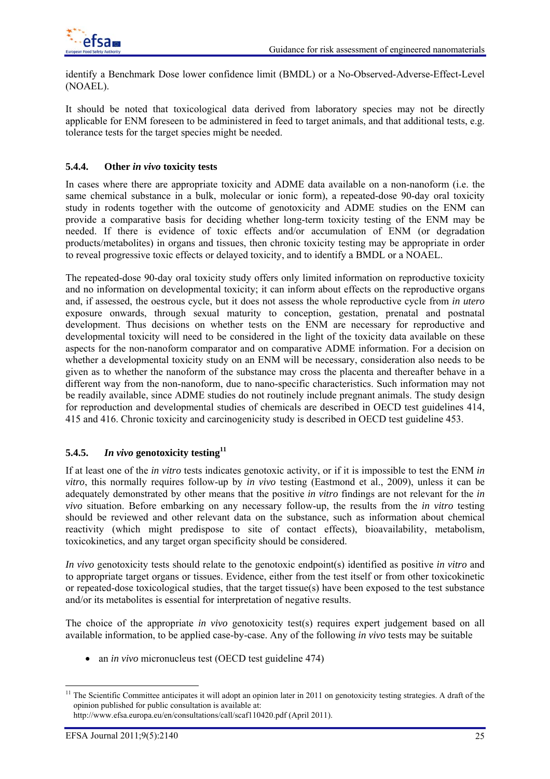

identify a Benchmark Dose lower confidence limit (BMDL) or a No-Observed-Adverse-Effect-Level (NOAEL).

It should be noted that toxicological data derived from laboratory species may not be directly applicable for ENM foreseen to be administered in feed to target animals, and that additional tests, e.g. tolerance tests for the target species might be needed.

## **5.4.4. Other** *in vivo* **toxicity tests**

In cases where there are appropriate toxicity and ADME data available on a non-nanoform (i.e. the same chemical substance in a bulk, molecular or ionic form), a repeated-dose 90-day oral toxicity study in rodents together with the outcome of genotoxicity and ADME studies on the ENM can provide a comparative basis for deciding whether long-term toxicity testing of the ENM may be needed. If there is evidence of toxic effects and/or accumulation of ENM (or degradation products/metabolites) in organs and tissues, then chronic toxicity testing may be appropriate in order to reveal progressive toxic effects or delayed toxicity, and to identify a BMDL or a NOAEL.

The repeated-dose 90-day oral toxicity study offers only limited information on reproductive toxicity and no information on developmental toxicity; it can inform about effects on the reproductive organs and, if assessed, the oestrous cycle, but it does not assess the whole reproductive cycle from *in utero*  exposure onwards, through sexual maturity to conception, gestation, prenatal and postnatal development. Thus decisions on whether tests on the ENM are necessary for reproductive and developmental toxicity will need to be considered in the light of the toxicity data available on these aspects for the non-nanoform comparator and on comparative ADME information. For a decision on whether a developmental toxicity study on an ENM will be necessary, consideration also needs to be given as to whether the nanoform of the substance may cross the placenta and thereafter behave in a different way from the non-nanoform, due to nano-specific characteristics. Such information may not be readily available, since ADME studies do not routinely include pregnant animals. The study design for reproduction and developmental studies of chemicals are described in OECD test guidelines 414, 415 and 416. Chronic toxicity and carcinogenicity study is described in OECD test guideline 453.

## **5.4.5.** *In vivo* **genotoxicity testing11**

If at least one of the *in vitro* tests indicates genotoxic activity, or if it is impossible to test the ENM *in vitro*, this normally requires follow-up by *in vivo* testing (Eastmond et al., 2009), unless it can be adequately demonstrated by other means that the positive *in vitro* findings are not relevant for the *in vivo* situation. Before embarking on any necessary follow-up, the results from the *in vitro* testing should be reviewed and other relevant data on the substance, such as information about chemical reactivity (which might predispose to site of contact effects), bioavailability, metabolism, toxicokinetics, and any target organ specificity should be considered.

*In vivo* genotoxicity tests should relate to the genotoxic endpoint(s) identified as positive *in vitro* and to appropriate target organs or tissues. Evidence, either from the test itself or from other toxicokinetic or repeated-dose toxicological studies, that the target tissue(s) have been exposed to the test substance and/or its metabolites is essential for interpretation of negative results.

The choice of the appropriate *in vivo* genotoxicity test(s) requires expert judgement based on all available information, to be applied case-by-case. Any of the following *in vivo* tests may be suitable

• an *in vivo* micronucleus test (OECD test guideline 474)

l

The Scientific Committee anticipates it will adopt an opinion later in 2011 on genotoxicity testing strategies. A draft of the opinion published for public consultation is available at: http://www.efsa.europa.eu/en/consultations/call/scaf110420.pdf (April 2011).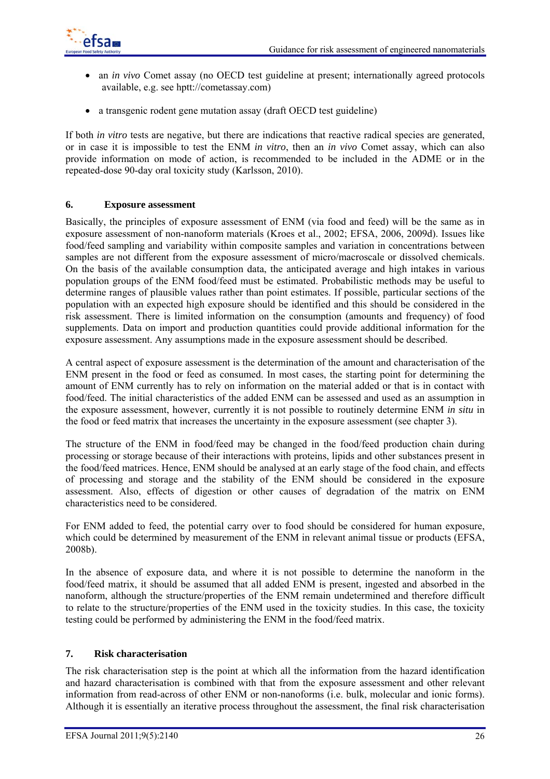

- an *in vivo* Comet assay (no OECD test guideline at present; internationally agreed protocols available, e.g. see hptt://cometassay.com)
- a transgenic rodent gene mutation assay (draft OECD test guideline)

If both *in vitro* tests are negative, but there are indications that reactive radical species are generated, or in case it is impossible to test the ENM *in vitro*, then an *in vivo* Comet assay, which can also provide information on mode of action, is recommended to be included in the ADME or in the repeated-dose 90-day oral toxicity study (Karlsson, 2010).

### **6. Exposure assessment**

Basically, the principles of exposure assessment of ENM (via food and feed) will be the same as in exposure assessment of non-nanoform materials (Kroes et al., 2002; EFSA, 2006, 2009d). Issues like food/feed sampling and variability within composite samples and variation in concentrations between samples are not different from the exposure assessment of micro/macroscale or dissolved chemicals. On the basis of the available consumption data, the anticipated average and high intakes in various population groups of the ENM food/feed must be estimated. Probabilistic methods may be useful to determine ranges of plausible values rather than point estimates. If possible, particular sections of the population with an expected high exposure should be identified and this should be considered in the risk assessment. There is limited information on the consumption (amounts and frequency) of food supplements. Data on import and production quantities could provide additional information for the exposure assessment. Any assumptions made in the exposure assessment should be described.

A central aspect of exposure assessment is the determination of the amount and characterisation of the ENM present in the food or feed as consumed. In most cases, the starting point for determining the amount of ENM currently has to rely on information on the material added or that is in contact with food/feed. The initial characteristics of the added ENM can be assessed and used as an assumption in the exposure assessment, however, currently it is not possible to routinely determine ENM *in situ* in the food or feed matrix that increases the uncertainty in the exposure assessment (see chapter 3).

The structure of the ENM in food/feed may be changed in the food/feed production chain during processing or storage because of their interactions with proteins, lipids and other substances present in the food/feed matrices. Hence, ENM should be analysed at an early stage of the food chain, and effects of processing and storage and the stability of the ENM should be considered in the exposure assessment. Also, effects of digestion or other causes of degradation of the matrix on ENM characteristics need to be considered.

For ENM added to feed, the potential carry over to food should be considered for human exposure, which could be determined by measurement of the ENM in relevant animal tissue or products (EFSA, 2008b).

In the absence of exposure data, and where it is not possible to determine the nanoform in the food/feed matrix, it should be assumed that all added ENM is present, ingested and absorbed in the nanoform, although the structure/properties of the ENM remain undetermined and therefore difficult to relate to the structure/properties of the ENM used in the toxicity studies. In this case, the toxicity testing could be performed by administering the ENM in the food/feed matrix.

## **7. Risk characterisation**

The risk characterisation step is the point at which all the information from the hazard identification and hazard characterisation is combined with that from the exposure assessment and other relevant information from read-across of other ENM or non-nanoforms (i.e. bulk, molecular and ionic forms). Although it is essentially an iterative process throughout the assessment, the final risk characterisation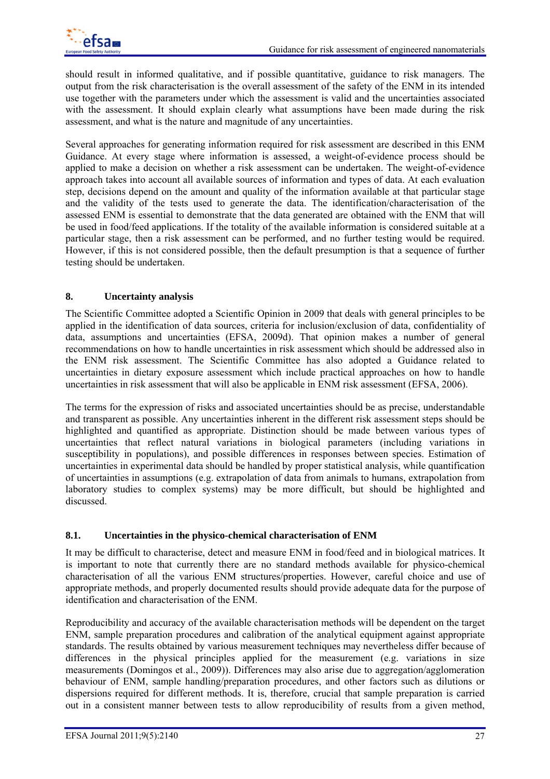

should result in informed qualitative, and if possible quantitative, guidance to risk managers. The output from the risk characterisation is the overall assessment of the safety of the ENM in its intended use together with the parameters under which the assessment is valid and the uncertainties associated with the assessment. It should explain clearly what assumptions have been made during the risk assessment, and what is the nature and magnitude of any uncertainties.

Several approaches for generating information required for risk assessment are described in this ENM Guidance. At every stage where information is assessed, a weight-of-evidence process should be applied to make a decision on whether a risk assessment can be undertaken. The weight-of-evidence approach takes into account all available sources of information and types of data. At each evaluation step, decisions depend on the amount and quality of the information available at that particular stage and the validity of the tests used to generate the data. The identification/characterisation of the assessed ENM is essential to demonstrate that the data generated are obtained with the ENM that will be used in food/feed applications. If the totality of the available information is considered suitable at a particular stage, then a risk assessment can be performed, and no further testing would be required. However, if this is not considered possible, then the default presumption is that a sequence of further testing should be undertaken.

## **8. Uncertainty analysis**

The Scientific Committee adopted a Scientific Opinion in 2009 that deals with general principles to be applied in the identification of data sources, criteria for inclusion/exclusion of data, confidentiality of data, assumptions and uncertainties (EFSA, 2009d). That opinion makes a number of general recommendations on how to handle uncertainties in risk assessment which should be addressed also in the ENM risk assessment. The Scientific Committee has also adopted a Guidance related to uncertainties in dietary exposure assessment which include practical approaches on how to handle uncertainties in risk assessment that will also be applicable in ENM risk assessment (EFSA, 2006).

The terms for the expression of risks and associated uncertainties should be as precise, understandable and transparent as possible. Any uncertainties inherent in the different risk assessment steps should be highlighted and quantified as appropriate. Distinction should be made between various types of uncertainties that reflect natural variations in biological parameters (including variations in susceptibility in populations), and possible differences in responses between species. Estimation of uncertainties in experimental data should be handled by proper statistical analysis, while quantification of uncertainties in assumptions (e.g. extrapolation of data from animals to humans, extrapolation from laboratory studies to complex systems) may be more difficult, but should be highlighted and discussed.

## **8.1. Uncertainties in the physico-chemical characterisation of ENM**

It may be difficult to characterise, detect and measure ENM in food/feed and in biological matrices. It is important to note that currently there are no standard methods available for physico-chemical characterisation of all the various ENM structures/properties. However, careful choice and use of appropriate methods, and properly documented results should provide adequate data for the purpose of identification and characterisation of the ENM.

Reproducibility and accuracy of the available characterisation methods will be dependent on the target ENM, sample preparation procedures and calibration of the analytical equipment against appropriate standards. The results obtained by various measurement techniques may nevertheless differ because of differences in the physical principles applied for the measurement (e.g. variations in size measurements (Domingos et al., 2009)). Differences may also arise due to aggregation/agglomeration behaviour of ENM, sample handling/preparation procedures, and other factors such as dilutions or dispersions required for different methods. It is, therefore, crucial that sample preparation is carried out in a consistent manner between tests to allow reproducibility of results from a given method,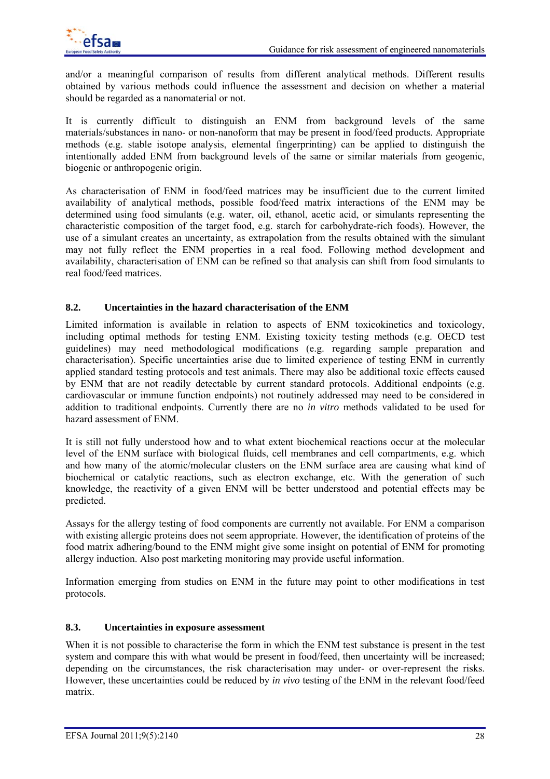and/or a meaningful comparison of results from different analytical methods. Different results obtained by various methods could influence the assessment and decision on whether a material should be regarded as a nanomaterial or not.

It is currently difficult to distinguish an ENM from background levels of the same materials/substances in nano- or non-nanoform that may be present in food/feed products. Appropriate methods (e.g. stable isotope analysis, elemental fingerprinting) can be applied to distinguish the intentionally added ENM from background levels of the same or similar materials from geogenic, biogenic or anthropogenic origin.

As characterisation of ENM in food/feed matrices may be insufficient due to the current limited availability of analytical methods, possible food/feed matrix interactions of the ENM may be determined using food simulants (e.g. water, oil, ethanol, acetic acid, or simulants representing the characteristic composition of the target food, e.g. starch for carbohydrate-rich foods). However, the use of a simulant creates an uncertainty, as extrapolation from the results obtained with the simulant may not fully reflect the ENM properties in a real food. Following method development and availability, characterisation of ENM can be refined so that analysis can shift from food simulants to real food/feed matrices.

### **8.2. Uncertainties in the hazard characterisation of the ENM**

Limited information is available in relation to aspects of ENM toxicokinetics and toxicology, including optimal methods for testing ENM. Existing toxicity testing methods (e.g. OECD test guidelines) may need methodological modifications (e.g. regarding sample preparation and characterisation). Specific uncertainties arise due to limited experience of testing ENM in currently applied standard testing protocols and test animals. There may also be additional toxic effects caused by ENM that are not readily detectable by current standard protocols. Additional endpoints (e.g. cardiovascular or immune function endpoints) not routinely addressed may need to be considered in addition to traditional endpoints. Currently there are no *in vitro* methods validated to be used for hazard assessment of ENM.

It is still not fully understood how and to what extent biochemical reactions occur at the molecular level of the ENM surface with biological fluids, cell membranes and cell compartments, e.g. which and how many of the atomic/molecular clusters on the ENM surface area are causing what kind of biochemical or catalytic reactions, such as electron exchange, etc. With the generation of such knowledge, the reactivity of a given ENM will be better understood and potential effects may be predicted.

Assays for the allergy testing of food components are currently not available. For ENM a comparison with existing allergic proteins does not seem appropriate. However, the identification of proteins of the food matrix adhering/bound to the ENM might give some insight on potential of ENM for promoting allergy induction. Also post marketing monitoring may provide useful information.

Information emerging from studies on ENM in the future may point to other modifications in test protocols.

### **8.3. Uncertainties in exposure assessment**

When it is not possible to characterise the form in which the ENM test substance is present in the test system and compare this with what would be present in food/feed, then uncertainty will be increased; depending on the circumstances, the risk characterisation may under- or over-represent the risks. However, these uncertainties could be reduced by *in vivo* testing of the ENM in the relevant food/feed matrix.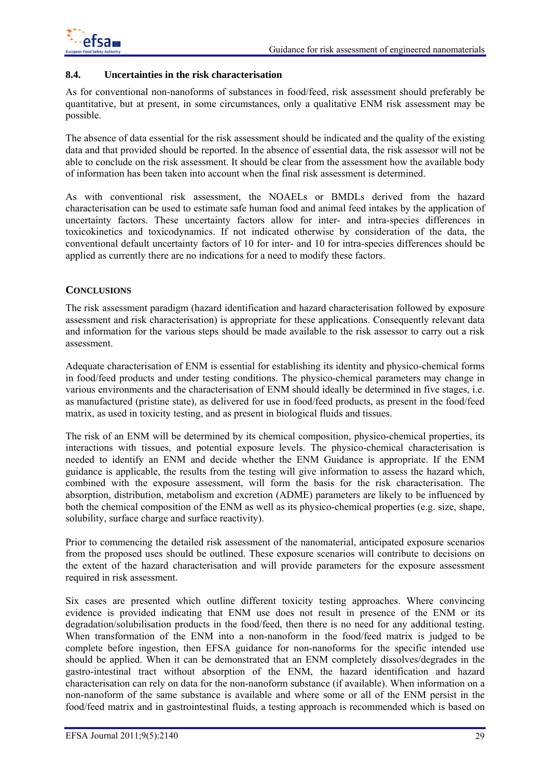### **8.4. Uncertainties in the risk characterisation**

As for conventional non-nanoforms of substances in food/feed, risk assessment should preferably be quantitative, but at present, in some circumstances, only a qualitative ENM risk assessment may be possible.

The absence of data essential for the risk assessment should be indicated and the quality of the existing data and that provided should be reported. In the absence of essential data, the risk assessor will not be able to conclude on the risk assessment. It should be clear from the assessment how the available body of information has been taken into account when the final risk assessment is determined.

As with conventional risk assessment, the NOAELs or BMDLs derived from the hazard characterisation can be used to estimate safe human food and animal feed intakes by the application of uncertainty factors. These uncertainty factors allow for inter- and intra-species differences in toxicokinetics and toxicodynamics. If not indicated otherwise by consideration of the data, the conventional default uncertainty factors of 10 for inter- and 10 for intra-species differences should be applied as currently there are no indications for a need to modify these factors.

## **CONCLUSIONS**

The risk assessment paradigm (hazard identification and hazard characterisation followed by exposure assessment and risk characterisation) is appropriate for these applications. Consequently relevant data and information for the various steps should be made available to the risk assessor to carry out a risk assessment.

Adequate characterisation of ENM is essential for establishing its identity and physico-chemical forms in food/feed products and under testing conditions. The physico-chemical parameters may change in various environments and the characterisation of ENM should ideally be determined in five stages, i.e. as manufactured (pristine state), as delivered for use in food/feed products, as present in the food/feed matrix, as used in toxicity testing, and as present in biological fluids and tissues.

The risk of an ENM will be determined by its chemical composition, physico-chemical properties, its interactions with tissues, and potential exposure levels. The physico-chemical characterisation is needed to identify an ENM and decide whether the ENM Guidance is appropriate. If the ENM guidance is applicable, the results from the testing will give information to assess the hazard which, combined with the exposure assessment, will form the basis for the risk characterisation. The absorption, distribution, metabolism and excretion (ADME) parameters are likely to be influenced by both the chemical composition of the ENM as well as its physico-chemical properties (e.g. size, shape, solubility, surface charge and surface reactivity).

Prior to commencing the detailed risk assessment of the nanomaterial, anticipated exposure scenarios from the proposed uses should be outlined. These exposure scenarios will contribute to decisions on the extent of the hazard characterisation and will provide parameters for the exposure assessment required in risk assessment.

Six cases are presented which outline different toxicity testing approaches. Where convincing evidence is provided indicating that ENM use does not result in presence of the ENM or its degradation/solubilisation products in the food/feed, then there is no need for any additional testing. When transformation of the ENM into a non-nanoform in the food/feed matrix is judged to be complete before ingestion, then EFSA guidance for non-nanoforms for the specific intended use should be applied. When it can be demonstrated that an ENM completely dissolves/degrades in the gastro-intestinal tract without absorption of the ENM, the hazard identification and hazard characterisation can rely on data for the non-nanoform substance (if available). When information on a non-nanoform of the same substance is available and where some or all of the ENM persist in the food/feed matrix and in gastrointestinal fluids, a testing approach is recommended which is based on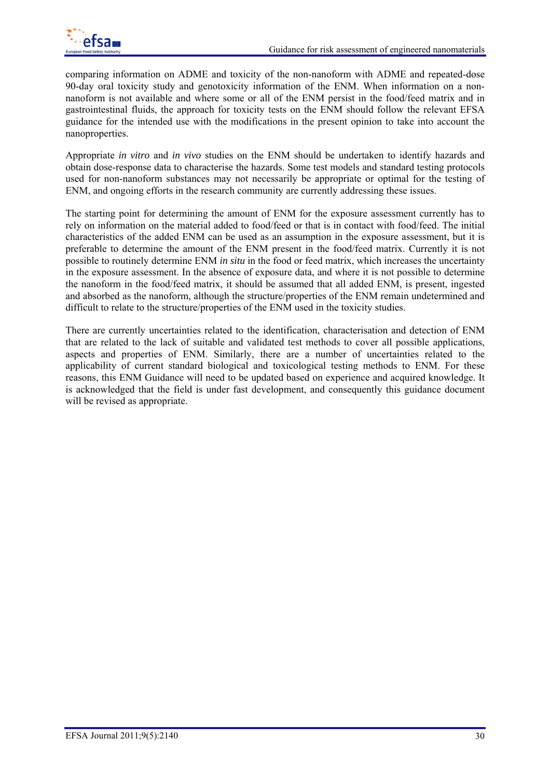comparing information on ADME and toxicity of the non-nanoform with ADME and repeated-dose 90-day oral toxicity study and genotoxicity information of the ENM. When information on a nonnanoform is not available and where some or all of the ENM persist in the food/feed matrix and in gastrointestinal fluids, the approach for toxicity tests on the ENM should follow the relevant EFSA guidance for the intended use with the modifications in the present opinion to take into account the nanoproperties.

Appropriate *in vitro* and *in vivo* studies on the ENM should be undertaken to identify hazards and obtain dose-response data to characterise the hazards. Some test models and standard testing protocols used for non-nanoform substances may not necessarily be appropriate or optimal for the testing of ENM, and ongoing efforts in the research community are currently addressing these issues.

The starting point for determining the amount of ENM for the exposure assessment currently has to rely on information on the material added to food/feed or that is in contact with food/feed. The initial characteristics of the added ENM can be used as an assumption in the exposure assessment, but it is preferable to determine the amount of the ENM present in the food/feed matrix. Currently it is not possible to routinely determine ENM *in situ* in the food or feed matrix, which increases the uncertainty in the exposure assessment. In the absence of exposure data, and where it is not possible to determine the nanoform in the food/feed matrix, it should be assumed that all added ENM, is present, ingested and absorbed as the nanoform, although the structure/properties of the ENM remain undetermined and difficult to relate to the structure/properties of the ENM used in the toxicity studies.

There are currently uncertainties related to the identification, characterisation and detection of ENM that are related to the lack of suitable and validated test methods to cover all possible applications, aspects and properties of ENM. Similarly, there are a number of uncertainties related to the applicability of current standard biological and toxicological testing methods to ENM. For these reasons, this ENM Guidance will need to be updated based on experience and acquired knowledge. It is acknowledged that the field is under fast development, and consequently this guidance document will be revised as appropriate.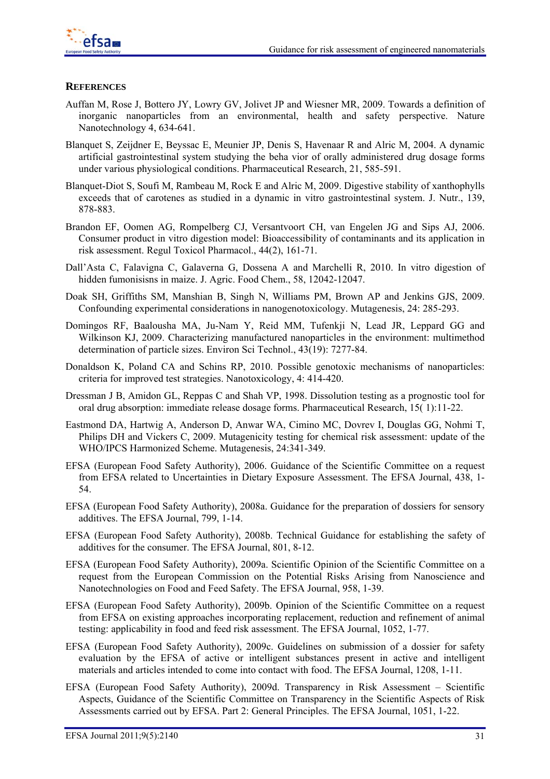

### **REFERENCES**

- Auffan M, Rose J, Bottero JY, Lowry GV, Jolivet JP and Wiesner MR, 2009. Towards a definition of inorganic nanoparticles from an environmental, health and safety perspective. Nature Nanotechnology 4, 634-641.
- Blanquet S, Zeijdner E, Beyssac E, Meunier JP, Denis S, Havenaar R and Alric M, 2004. A dynamic artificial gastrointestinal system studying the beha vior of orally administered drug dosage forms under various physiological conditions. Pharmaceutical Research, 21, 585-591.
- Blanquet-Diot S, Soufi M, Rambeau M, Rock E and Alric M, 2009. Digestive stability of xanthophylls exceeds that of carotenes as studied in a dynamic in vitro gastrointestinal system. J. Nutr., 139, 878-883.
- Brandon EF, Oomen AG, Rompelberg CJ, Versantvoort CH, van Engelen JG and Sips AJ, 2006. Consumer product in vitro digestion model: Bioaccessibility of contaminants and its application in risk assessment. Regul Toxicol Pharmacol., 44(2), 161-71.
- Dall'Asta C, Falavigna C, Galaverna G, Dossena A and Marchelli R, 2010. In vitro digestion of hidden fumonisisns in maize. J. Agric. Food Chem., 58, 12042-12047.
- Doak SH, Griffiths SM, Manshian B, Singh N, Williams PM, Brown AP and Jenkins GJS, 2009. Confounding experimental considerations in nanogenotoxicology. Mutagenesis, 24: 285-293.
- Domingos RF, Baalousha MA, Ju-Nam Y, Reid MM, Tufenkji N, Lead JR, Leppard GG and Wilkinson KJ, 2009. Characterizing manufactured nanoparticles in the environment: multimethod determination of particle sizes. Environ Sci Technol., 43(19): 7277-84.
- Donaldson K, Poland CA and Schins RP, 2010. Possible genotoxic mechanisms of nanoparticles: criteria for improved test strategies. Nanotoxicology, 4: 414-420.
- Dressman J B, Amidon GL, Reppas C and Shah VP, 1998. Dissolution testing as a prognostic tool for oral drug absorption: immediate release dosage forms. Pharmaceutical Research, 15( 1):11-22.
- Eastmond DA, Hartwig A, Anderson D, Anwar WA, Cimino MC, Dovrev I, Douglas GG, Nohmi T, Philips DH and Vickers C, 2009. Mutagenicity testing for chemical risk assessment: update of the WHO/IPCS Harmonized Scheme. Mutagenesis, 24:341-349.
- EFSA (European Food Safety Authority), 2006. Guidance of the Scientific Committee on a request from EFSA related to Uncertainties in Dietary Exposure Assessment. The EFSA Journal, 438, 1- 54.
- EFSA (European Food Safety Authority), 2008a. Guidance for the preparation of dossiers for sensory additives. The EFSA Journal, 799, 1-14.
- EFSA (European Food Safety Authority), 2008b. Technical Guidance for establishing the safety of additives for the consumer. The EFSA Journal, 801, 8-12.
- EFSA (European Food Safety Authority), 2009a. Scientific Opinion of the Scientific Committee on a request from the European Commission on the Potential Risks Arising from Nanoscience and Nanotechnologies on Food and Feed Safety. The EFSA Journal, 958, 1-39.
- EFSA (European Food Safety Authority), 2009b. Opinion of the Scientific Committee on a request from EFSA on existing approaches incorporating replacement, reduction and refinement of animal testing: applicability in food and feed risk assessment. The EFSA Journal, 1052, 1-77.
- EFSA (European Food Safety Authority), 2009c. Guidelines on submission of a dossier for safety evaluation by the EFSA of active or intelligent substances present in active and intelligent materials and articles intended to come into contact with food. The EFSA Journal, 1208, 1-11.
- EFSA (European Food Safety Authority), 2009d. Transparency in Risk Assessment Scientific Aspects, Guidance of the Scientific Committee on Transparency in the Scientific Aspects of Risk Assessments carried out by EFSA. Part 2: General Principles. The EFSA Journal, 1051, 1-22.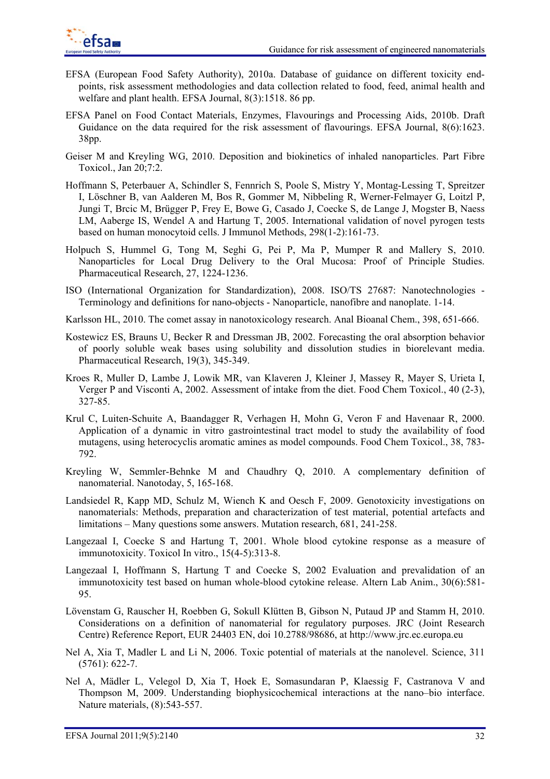

- EFSA (European Food Safety Authority), 2010a. Database of guidance on different toxicity endpoints, risk assessment methodologies and data collection related to food, feed, animal health and welfare and plant health. EFSA Journal, 8(3):1518. 86 pp.
- EFSA Panel on Food Contact Materials, Enzymes, Flavourings and Processing Aids, 2010b. Draft Guidance on the data required for the risk assessment of flavourings. EFSA Journal, 8(6):1623. 38pp.
- Geiser M and Kreyling WG, 2010. Deposition and biokinetics of inhaled nanoparticles. Part Fibre Toxicol., Jan 20;7:2.
- Hoffmann S, Peterbauer A, Schindler S, Fennrich S, Poole S, Mistry Y, Montag-Lessing T, Spreitzer I, Löschner B, van Aalderen M, Bos R, Gommer M, Nibbeling R, Werner-Felmayer G, Loitzl P, Jungi T, Brcic M, Brügger P, Frey E, Bowe G, Casado J, Coecke S, de Lange J, Mogster B, Naess LM, Aaberge IS, Wendel A and Hartung T, 2005. International validation of novel pyrogen tests based on human monocytoid cells. J Immunol Methods, 298(1-2):161-73.
- Holpuch S, Hummel G, Tong M, Seghi G, Pei P, Ma P, Mumper R and Mallery S, 2010. Nanoparticles for Local Drug Delivery to the Oral Mucosa: Proof of Principle Studies. Pharmaceutical Research, 27, 1224-1236.
- ISO (International Organization for Standardization), 2008. ISO/TS 27687: Nanotechnologies Terminology and definitions for nano-objects - Nanoparticle, nanofibre and nanoplate. 1-14.
- Karlsson HL, 2010. The comet assay in nanotoxicology research. Anal Bioanal Chem., 398, 651-666.
- Kostewicz ES, Brauns U, Becker R and Dressman JB, 2002. Forecasting the oral absorption behavior of poorly soluble weak bases using solubility and dissolution studies in biorelevant media. Pharmaceutical Research, 19(3), 345-349.
- Kroes R, Muller D, Lambe J, Lowik MR, van Klaveren J, Kleiner J, Massey R, Mayer S, Urieta I, Verger P and Visconti A, 2002. Assessment of intake from the diet. Food Chem Toxicol., 40 (2-3), 327-85.
- Krul C, Luiten-Schuite A, Baandagger R, Verhagen H, Mohn G, Veron F and Havenaar R, 2000. Application of a dynamic in vitro gastrointestinal tract model to study the availability of food mutagens, using heterocyclis aromatic amines as model compounds. Food Chem Toxicol., 38, 783- 792.
- Kreyling W, Semmler-Behnke M and Chaudhry Q, 2010. A complementary definition of nanomaterial. Nanotoday, 5, 165-168.
- Landsiedel R, Kapp MD, Schulz M, Wiench K and Oesch F, 2009. Genotoxicity investigations on nanomaterials: Methods, preparation and characterization of test material, potential artefacts and limitations – Many questions some answers. Mutation research, 681, 241-258.
- Langezaal I, Coecke S and Hartung T, 2001. Whole blood cytokine response as a measure of immunotoxicity. Toxicol In vitro., 15(4-5):313-8.
- Langezaal I, Hoffmann S, Hartung T and Coecke S, 2002 Evaluation and prevalidation of an immunotoxicity test based on human whole-blood cytokine release. Altern Lab Anim., 30(6):581- 95.
- Lövenstam G, Rauscher H, Roebben G, Sokull Klütten B, Gibson N, Putaud JP and Stamm H, 2010. Considerations on a definition of nanomaterial for regulatory purposes. JRC (Joint Research Centre) Reference Report, EUR 24403 EN, doi 10.2788/98686, at http://www.jrc.ec.europa.eu
- Nel A, Xia T, Madler L and Li N, 2006. Toxic potential of materials at the nanolevel. Science, 311 (5761): 622-7.
- Nel A, Mädler L, Velegol D, Xia T, Hoek E, Somasundaran P, Klaessig F, Castranova V and Thompson M, 2009. Understanding biophysicochemical interactions at the nano–bio interface. Nature materials, (8):543-557.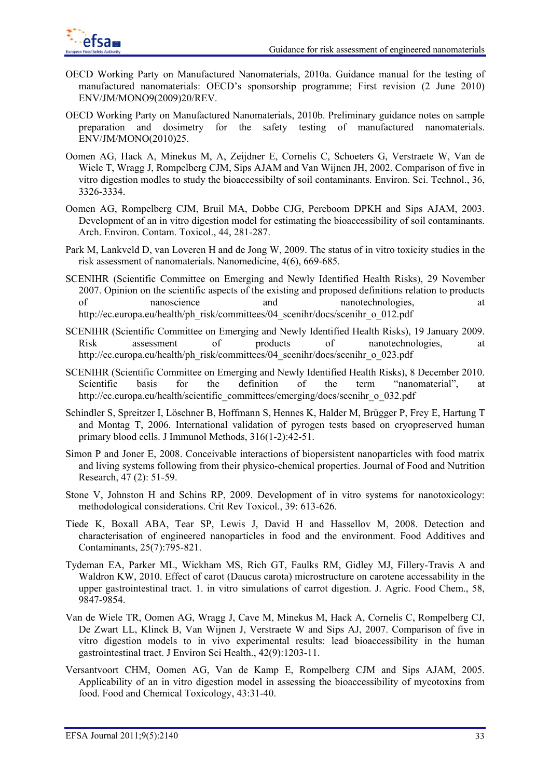

- OECD Working Party on Manufactured Nanomaterials, 2010a. Guidance manual for the testing of manufactured nanomaterials: OECD's sponsorship programme; First revision (2 June 2010) ENV/JM/MONO9(2009)20/REV.
- OECD Working Party on Manufactured Nanomaterials, 2010b. Preliminary guidance notes on sample preparation and dosimetry for the safety testing of manufactured nanomaterials. ENV/JM/MONO(2010)25.
- Oomen AG, Hack A, Minekus M, A, Zeijdner E, Cornelis C, Schoeters G, Verstraete W, Van de Wiele T, Wragg J, Rompelberg CJM, Sips AJAM and Van Wijnen JH, 2002. Comparison of five in vitro digestion modles to study the bioaccessibilty of soil contaminants. Environ. Sci. Technol., 36, 3326-3334.
- Oomen AG, Rompelberg CJM, Bruil MA, Dobbe CJG, Pereboom DPKH and Sips AJAM, 2003. Development of an in vitro digestion model for estimating the bioaccessibility of soil contaminants. Arch. Environ. Contam. Toxicol., 44, 281-287.
- Park M, Lankveld D, van Loveren H and de Jong W, 2009. The status of in vitro toxicity studies in the risk assessment of nanomaterials. Nanomedicine, 4(6), 669-685.
- SCENIHR (Scientific Committee on Emerging and Newly Identified Health Risks), 29 November 2007. Opinion on the scientific aspects of the existing and proposed definitions relation to products of nanoscience and nanotechnologies, at http://ec.europa.eu/health/ph\_risk/committees/04\_scenihr/docs/scenihr\_o\_012.pdf
- SCENIHR (Scientific Committee on Emerging and Newly Identified Health Risks), 19 January 2009. Risk assessment of products of nanotechnologies, at http://ec.europa.eu/health/ph\_risk/committees/04\_scenihr/docs/scenihr\_o\_023.pdf
- SCENIHR (Scientific Committee on Emerging and Newly Identified Health Risks), 8 December 2010. Scientific basis for the definition of the term "nanomaterial", http://ec.europa.eu/health/scientific\_committees/emerging/docs/scenihr\_o\_032.pdf
- Schindler S, Spreitzer I, Löschner B, Hoffmann S, Hennes K, Halder M, Brügger P, Frey E, Hartung T and Montag T, 2006. International validation of pyrogen tests based on cryopreserved human primary blood cells. J Immunol Methods, 316(1-2):42-51.
- Simon P and Joner E, 2008. Conceivable interactions of biopersistent nanoparticles with food matrix and living systems following from their physico-chemical properties. Journal of Food and Nutrition Research, 47 (2): 51-59.
- Stone V, Johnston H and Schins RP, 2009. Development of in vitro systems for nanotoxicology: methodological considerations. Crit Rev Toxicol., 39: 613-626.
- Tiede K, Boxall ABA, Tear SP, Lewis J, David H and Hassellov M, 2008. Detection and characterisation of engineered nanoparticles in food and the environment. Food Additives and Contaminants, 25(7):795-821.
- Tydeman EA, Parker ML, Wickham MS, Rich GT, Faulks RM, Gidley MJ, Fillery-Travis A and Waldron KW, 2010. Effect of carot (Daucus carota) microstructure on carotene accessability in the upper gastrointestinal tract. 1. in vitro simulations of carrot digestion. J. Agric. Food Chem., 58, 9847-9854.
- Van de Wiele TR, Oomen AG, Wragg J, Cave M, Minekus M, Hack A, Cornelis C, Rompelberg CJ, De Zwart LL, Klinck B, Van Wijnen J, Verstraete W and Sips AJ, 2007. Comparison of five in vitro digestion models to in vivo experimental results: lead bioaccessibility in the human gastrointestinal tract. J Environ Sci Health., 42(9):1203-11.
- Versantvoort CHM, Oomen AG, Van de Kamp E, Rompelberg CJM and Sips AJAM, 2005. Applicability of an in vitro digestion model in assessing the bioaccessibility of mycotoxins from food. Food and Chemical Toxicology, 43:31-40.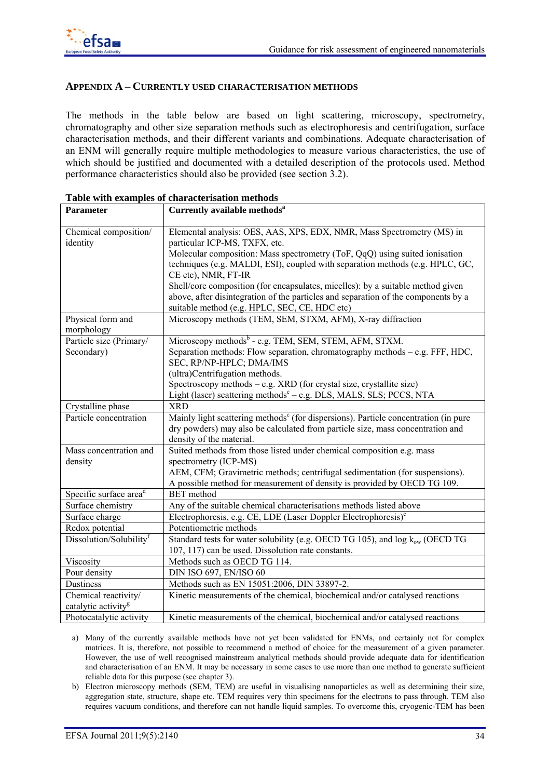

### **APPENDIX A – CURRENTLY USED CHARACTERISATION METHODS**

The methods in the table below are based on light scattering, microscopy, spectrometry, chromatography and other size separation methods such as electrophoresis and centrifugation, surface characterisation methods, and their different variants and combinations. Adequate characterisation of an ENM will generally require multiple methodologies to measure various characteristics, the use of which should be justified and documented with a detailed description of the protocols used. Method performance characteristics should also be provided (see section 3.2).

| <b>Parameter</b>                   | Currently available methods <sup>a</sup>                                                        |
|------------------------------------|-------------------------------------------------------------------------------------------------|
|                                    |                                                                                                 |
| Chemical composition/              | Elemental analysis: OES, AAS, XPS, EDX, NMR, Mass Spectrometry (MS) in                          |
| identity                           | particular ICP-MS, TXFX, etc.                                                                   |
|                                    | Molecular composition: Mass spectrometry (ToF, QqQ) using suited ionisation                     |
|                                    | techniques (e.g. MALDI, ESI), coupled with separation methods (e.g. HPLC, GC,                   |
|                                    | CE etc), NMR, FT-IR                                                                             |
|                                    | Shell/core composition (for encapsulates, micelles): by a suitable method given                 |
|                                    | above, after disintegration of the particles and separation of the components by a              |
|                                    | suitable method (e.g. HPLC, SEC, CE, HDC etc)                                                   |
| Physical form and                  | Microscopy methods (TEM, SEM, STXM, AFM), X-ray diffraction                                     |
| morphology                         |                                                                                                 |
| Particle size (Primary/            | Microscopy methods <sup>b</sup> - e.g. TEM, SEM, STEM, AFM, STXM.                               |
| Secondary)                         | Separation methods: Flow separation, chromatography methods – e.g. FFF, HDC,                    |
|                                    | SEC, RP/NP-HPLC; DMA/IMS                                                                        |
|                                    | (ultra)Centrifugation methods.                                                                  |
|                                    | Spectroscopy methods $-$ e.g. XRD (for crystal size, crystallite size)                          |
|                                    | Light (laser) scattering methods <sup>c</sup> - e.g. DLS, MALS, SLS; PCCS, NTA                  |
| Crystalline phase                  | <b>XRD</b>                                                                                      |
| Particle concentration             | Mainly light scattering methods <sup>c</sup> (for dispersions). Particle concentration (in pure |
|                                    | dry powders) may also be calculated from particle size, mass concentration and                  |
|                                    | density of the material.                                                                        |
| Mass concentration and             | Suited methods from those listed under chemical composition e.g. mass                           |
| density                            | spectrometry (ICP-MS)                                                                           |
|                                    | AEM, CFM; Gravimetric methods; centrifugal sedimentation (for suspensions).                     |
|                                    | A possible method for measurement of density is provided by OECD TG 109.                        |
| Specific surface area <sup>d</sup> | <b>BET</b> method                                                                               |
| Surface chemistry                  | Any of the suitable chemical characterisations methods listed above                             |
| Surface charge                     | Electrophoresis, e.g. CE, LDE (Laser Doppler Electrophoresis) <sup>e</sup>                      |
| Redox potential                    | Potentiometric methods                                                                          |
| Dissolution/Solubilityf            | Standard tests for water solubility (e.g. OECD TG 105), and log kow (OECD TG                    |
|                                    | 107, 117) can be used. Dissolution rate constants.                                              |
| Viscosity                          | Methods such as OECD TG 114.                                                                    |
| Pour density                       | DIN ISO 697, EN/ISO 60                                                                          |
| Dustiness                          | Methods such as EN 15051:2006, DIN 33897-2.                                                     |
| Chemical reactivity/               | Kinetic measurements of the chemical, biochemical and/or catalysed reactions                    |
| catalytic activity <sup>g</sup>    |                                                                                                 |
| Photocatalytic activity            | Kinetic measurements of the chemical, biochemical and/or catalysed reactions                    |

|  |  | Table with examples of characterisation methods |  |  |
|--|--|-------------------------------------------------|--|--|
|--|--|-------------------------------------------------|--|--|

b) Electron microscopy methods (SEM, TEM) are useful in visualising nanoparticles as well as determining their size, aggregation state, structure, shape etc. TEM requires very thin specimens for the electrons to pass through. TEM also requires vacuum conditions, and therefore can not handle liquid samples. To overcome this, cryogenic-TEM has been

a) Many of the currently available methods have not yet been validated for ENMs, and certainly not for complex matrices. It is, therefore, not possible to recommend a method of choice for the measurement of a given parameter. However, the use of well recognised mainstream analytical methods should provide adequate data for identification and characterisation of an ENM. It may be necessary in some cases to use more than one method to generate sufficient reliable data for this purpose (see chapter 3).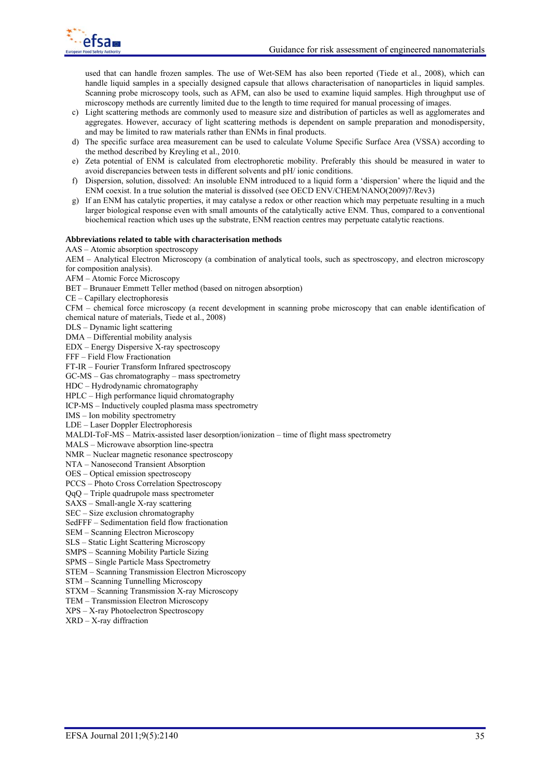

used that can handle frozen samples. The use of Wet-SEM has also been reported (Tiede et al., 2008), which can handle liquid samples in a specially designed capsule that allows characterisation of nanoparticles in liquid samples. Scanning probe microscopy tools, such as AFM, can also be used to examine liquid samples. High throughput use of microscopy methods are currently limited due to the length to time required for manual processing of images.

- c) Light scattering methods are commonly used to measure size and distribution of particles as well as agglomerates and aggregates. However, accuracy of light scattering methods is dependent on sample preparation and monodispersity, and may be limited to raw materials rather than ENMs in final products.
- d) The specific surface area measurement can be used to calculate Volume Specific Surface Area (VSSA) according to the method described by Kreyling et al., 2010.
- e) Zeta potential of ENM is calculated from electrophoretic mobility. Preferably this should be measured in water to avoid discrepancies between tests in different solvents and pH/ ionic conditions.
- f) Dispersion, solution, dissolved: An insoluble ENM introduced to a liquid form a 'dispersion' where the liquid and the ENM coexist. In a true solution the material is dissolved (see OECD ENV/CHEM/NANO(2009)7/Rev3)
- g) If an ENM has catalytic properties, it may catalyse a redox or other reaction which may perpetuate resulting in a much larger biological response even with small amounts of the catalytically active ENM. Thus, compared to a conventional biochemical reaction which uses up the substrate, ENM reaction centres may perpetuate catalytic reactions.

#### **Abbreviations related to table with characterisation methods**

AAS – Atomic absorption spectroscopy

AEM – Analytical Electron Microscopy (a combination of analytical tools, such as spectroscopy, and electron microscopy for composition analysis).

AFM – Atomic Force Microscopy

BET – Brunauer Emmett Teller method (based on nitrogen absorption)

CE – Capillary electrophoresis

CFM – chemical force microscopy (a recent development in scanning probe microscopy that can enable identification of chemical nature of materials, Tiede et al., 2008)

DLS – Dynamic light scattering

DMA – Differential mobility analysis

EDX – Energy Dispersive X-ray spectroscopy

FFF – Field Flow Fractionation

FT-IR – Fourier Transform Infrared spectroscopy

GC-MS – Gas chromatography – mass spectrometry

HDC – Hydrodynamic chromatography

HPLC – High performance liquid chromatography

ICP-MS – Inductively coupled plasma mass spectrometry

IMS – Ion mobility spectrometry

LDE – Laser Doppler Electrophoresis

MALDI-ToF-MS – Matrix-assisted laser desorption/ionization – time of flight mass spectrometry

MALS – Microwave absorption line-spectra

NMR – Nuclear magnetic resonance spectroscopy

NTA – Nanosecond Transient Absorption

OES – Optical emission spectroscopy

PCCS – Photo Cross Correlation Spectroscopy

QqQ – Triple quadrupole mass spectrometer

SAXS – Small-angle X-ray scattering

SEC – Size exclusion chromatography

SedFFF – Sedimentation field flow fractionation

SEM – Scanning Electron Microscopy

SLS – Static Light Scattering Microscopy

SMPS – Scanning Mobility Particle Sizing

SPMS – Single Particle Mass Spectrometry

STEM – Scanning Transmission Electron Microscopy

STM – Scanning Tunnelling Microscopy

STXM – Scanning Transmission X-ray Microscopy

TEM – Transmission Electron Microscopy

XPS – X-ray Photoelectron Spectroscopy

XRD – X-ray diffraction